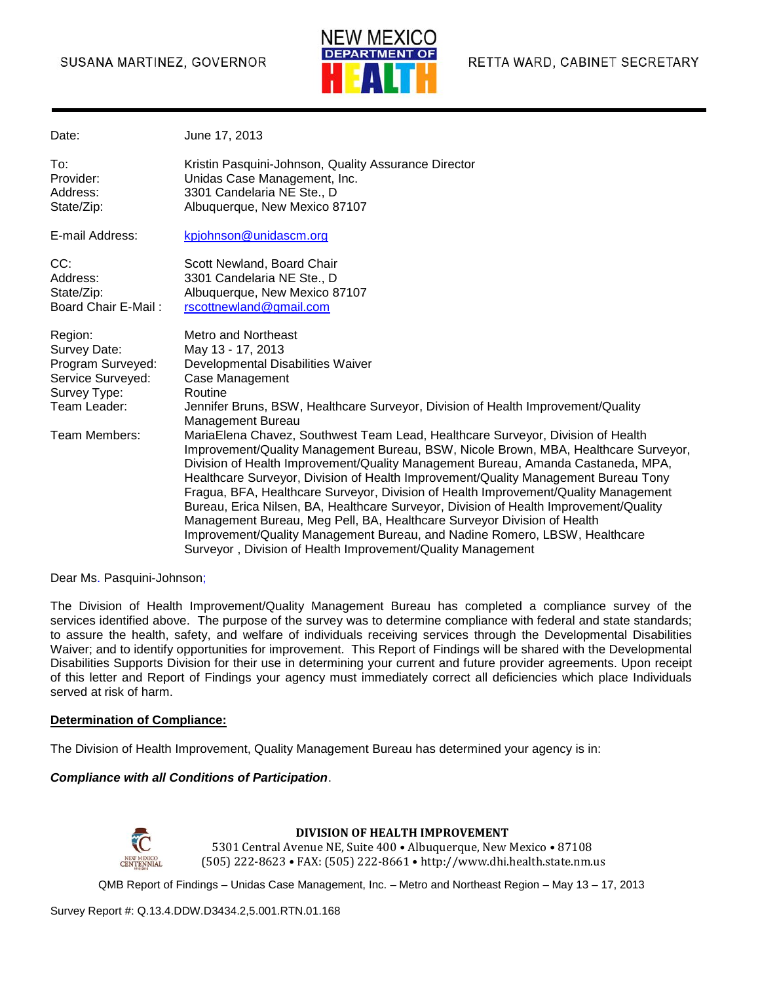#### SUSANA MARTINEZ, GOVERNOR



| Date:                                                                                                              | June 17, 2013                                                                                                                                                                                                                                                                                                                                                                                                                                                                                                                                                                                                                                                                                                                                                                                                                                                                                                                                                                    |
|--------------------------------------------------------------------------------------------------------------------|----------------------------------------------------------------------------------------------------------------------------------------------------------------------------------------------------------------------------------------------------------------------------------------------------------------------------------------------------------------------------------------------------------------------------------------------------------------------------------------------------------------------------------------------------------------------------------------------------------------------------------------------------------------------------------------------------------------------------------------------------------------------------------------------------------------------------------------------------------------------------------------------------------------------------------------------------------------------------------|
| To:<br>Provider:<br>Address:<br>State/Zip:                                                                         | Kristin Pasquini-Johnson, Quality Assurance Director<br>Unidas Case Management, Inc.<br>3301 Candelaria NE Ste., D<br>Albuquerque, New Mexico 87107                                                                                                                                                                                                                                                                                                                                                                                                                                                                                                                                                                                                                                                                                                                                                                                                                              |
| E-mail Address:                                                                                                    | kpjohnson@unidascm.org                                                                                                                                                                                                                                                                                                                                                                                                                                                                                                                                                                                                                                                                                                                                                                                                                                                                                                                                                           |
| CC:<br>Address:<br>State/Zip:<br><b>Board Chair E-Mail:</b>                                                        | Scott Newland, Board Chair<br>3301 Candelaria NE Ste., D<br>Albuquerque, New Mexico 87107<br>rscottnewland@gmail.com                                                                                                                                                                                                                                                                                                                                                                                                                                                                                                                                                                                                                                                                                                                                                                                                                                                             |
| Region:<br>Survey Date:<br>Program Surveyed:<br>Service Surveyed:<br>Survey Type:<br>Team Leader:<br>Team Members: | Metro and Northeast<br>May 13 - 17, 2013<br>Developmental Disabilities Waiver<br>Case Management<br>Routine<br>Jennifer Bruns, BSW, Healthcare Surveyor, Division of Health Improvement/Quality<br>Management Bureau<br>MariaElena Chavez, Southwest Team Lead, Healthcare Surveyor, Division of Health<br>Improvement/Quality Management Bureau, BSW, Nicole Brown, MBA, Healthcare Surveyor,<br>Division of Health Improvement/Quality Management Bureau, Amanda Castaneda, MPA,<br>Healthcare Surveyor, Division of Health Improvement/Quality Management Bureau Tony<br>Fragua, BFA, Healthcare Surveyor, Division of Health Improvement/Quality Management<br>Bureau, Erica Nilsen, BA, Healthcare Surveyor, Division of Health Improvement/Quality<br>Management Bureau, Meg Pell, BA, Healthcare Surveyor Division of Health<br>Improvement/Quality Management Bureau, and Nadine Romero, LBSW, Healthcare<br>Surveyor, Division of Health Improvement/Quality Management |

Dear Ms. Pasquini-Johnson;

The Division of Health Improvement/Quality Management Bureau has completed a compliance survey of the services identified above. The purpose of the survey was to determine compliance with federal and state standards; to assure the health, safety, and welfare of individuals receiving services through the Developmental Disabilities Waiver; and to identify opportunities for improvement. This Report of Findings will be shared with the Developmental Disabilities Supports Division for their use in determining your current and future provider agreements. Upon receipt of this letter and Report of Findings your agency must immediately correct all deficiencies which place Individuals served at risk of harm.

#### **Determination of Compliance:**

The Division of Health Improvement, Quality Management Bureau has determined your agency is in:

#### *Compliance with all Conditions of Participation*.



#### **DIVISION OF HEALTH IMPROVEMENT**

5301 Central Avenue NE, Suite 400 • Albuquerque, New Mexico • 87108 (505) 222-8623 • FAX: (505) 222-8661 • http://www.dhi.health.state.nm.us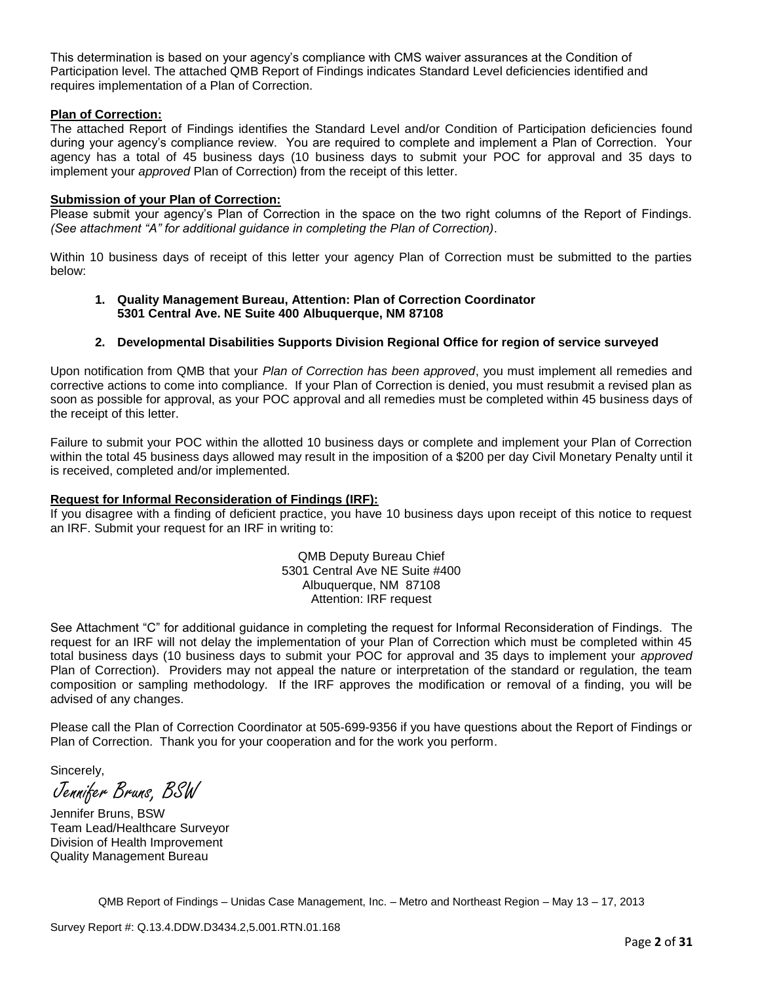This determination is based on your agency's compliance with CMS waiver assurances at the Condition of Participation level. The attached QMB Report of Findings indicates Standard Level deficiencies identified and requires implementation of a Plan of Correction.

#### **Plan of Correction:**

The attached Report of Findings identifies the Standard Level and/or Condition of Participation deficiencies found during your agency's compliance review. You are required to complete and implement a Plan of Correction. Your agency has a total of 45 business days (10 business days to submit your POC for approval and 35 days to implement your *approved* Plan of Correction) from the receipt of this letter.

#### **Submission of your Plan of Correction:**

Please submit your agency's Plan of Correction in the space on the two right columns of the Report of Findings. *(See attachment "A" for additional guidance in completing the Plan of Correction)*.

Within 10 business days of receipt of this letter your agency Plan of Correction must be submitted to the parties below:

#### **1. Quality Management Bureau, Attention: Plan of Correction Coordinator 5301 Central Ave. NE Suite 400 Albuquerque, NM 87108**

#### **2. Developmental Disabilities Supports Division Regional Office for region of service surveyed**

Upon notification from QMB that your *Plan of Correction has been approved*, you must implement all remedies and corrective actions to come into compliance. If your Plan of Correction is denied, you must resubmit a revised plan as soon as possible for approval, as your POC approval and all remedies must be completed within 45 business days of the receipt of this letter.

Failure to submit your POC within the allotted 10 business days or complete and implement your Plan of Correction within the total 45 business days allowed may result in the imposition of a \$200 per day Civil Monetary Penalty until it is received, completed and/or implemented.

#### **Request for Informal Reconsideration of Findings (IRF):**

If you disagree with a finding of deficient practice, you have 10 business days upon receipt of this notice to request an IRF. Submit your request for an IRF in writing to:

> QMB Deputy Bureau Chief 5301 Central Ave NE Suite #400 Albuquerque, NM 87108 Attention: IRF request

See Attachment "C" for additional guidance in completing the request for Informal Reconsideration of Findings. The request for an IRF will not delay the implementation of your Plan of Correction which must be completed within 45 total business days (10 business days to submit your POC for approval and 35 days to implement your *approved* Plan of Correction). Providers may not appeal the nature or interpretation of the standard or regulation, the team composition or sampling methodology. If the IRF approves the modification or removal of a finding, you will be advised of any changes.

Please call the Plan of Correction Coordinator at 505-699-9356 if you have questions about the Report of Findings or Plan of Correction. Thank you for your cooperation and for the work you perform.

Sincerely,

Jennifer Bruns, BSW

Jennifer Bruns, BSW Team Lead/Healthcare Surveyor Division of Health Improvement Quality Management Bureau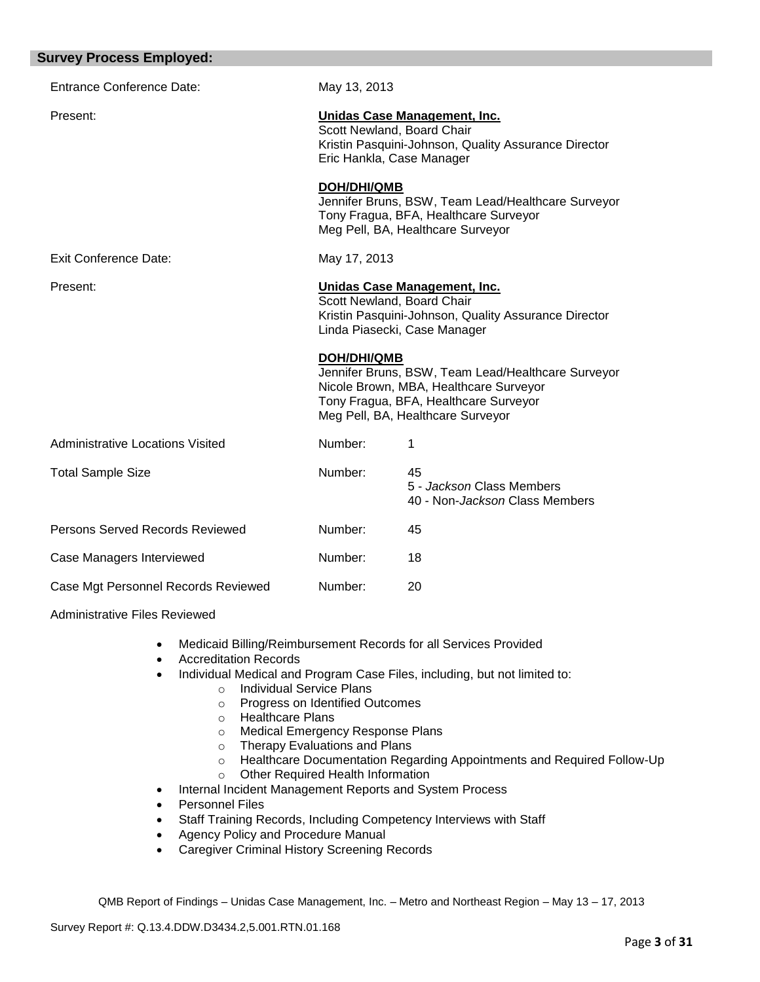| May 13, 2013                                            |                                                                                                                                                                            |
|---------------------------------------------------------|----------------------------------------------------------------------------------------------------------------------------------------------------------------------------|
| Scott Newland, Board Chair<br>Eric Hankla, Case Manager | Unidas Case Management, Inc.<br>Kristin Pasquini-Johnson, Quality Assurance Director                                                                                       |
| <b>DOH/DHI/QMB</b>                                      | Jennifer Bruns, BSW, Team Lead/Healthcare Surveyor<br>Tony Fragua, BFA, Healthcare Surveyor<br>Meg Pell, BA, Healthcare Surveyor                                           |
| May 17, 2013                                            |                                                                                                                                                                            |
| Scott Newland, Board Chair                              | Unidas Case Management, Inc.<br>Kristin Pasquini-Johnson, Quality Assurance Director<br>Linda Piasecki, Case Manager                                                       |
| <b>DOH/DHI/QMB</b>                                      | Jennifer Bruns, BSW, Team Lead/Healthcare Surveyor<br>Nicole Brown, MBA, Healthcare Surveyor<br>Tony Fragua, BFA, Healthcare Surveyor<br>Meg Pell, BA, Healthcare Surveyor |
| Number:                                                 | 1                                                                                                                                                                          |
| Number:                                                 | 45<br>5 - Jackson Class Members<br>40 - Non- <i>Jackson</i> Class Members                                                                                                  |
| Number:                                                 | 45                                                                                                                                                                         |
| Number:                                                 | 18                                                                                                                                                                         |
|                                                         |                                                                                                                                                                            |
|                                                         |                                                                                                                                                                            |

Administrative Files Reviewed

- Medicaid Billing/Reimbursement Records for all Services Provided
- Accreditation Records
- Individual Medical and Program Case Files, including, but not limited to:
	- o Individual Service Plans
		- o Progress on Identified Outcomes
		- o Healthcare Plans
		- o Medical Emergency Response Plans
		- o Therapy Evaluations and Plans
		- o Healthcare Documentation Regarding Appointments and Required Follow-Up
		- o Other Required Health Information
- Internal Incident Management Reports and System Process
- Personnel Files
- Staff Training Records, Including Competency Interviews with Staff
- Agency Policy and Procedure Manual
- Caregiver Criminal History Screening Records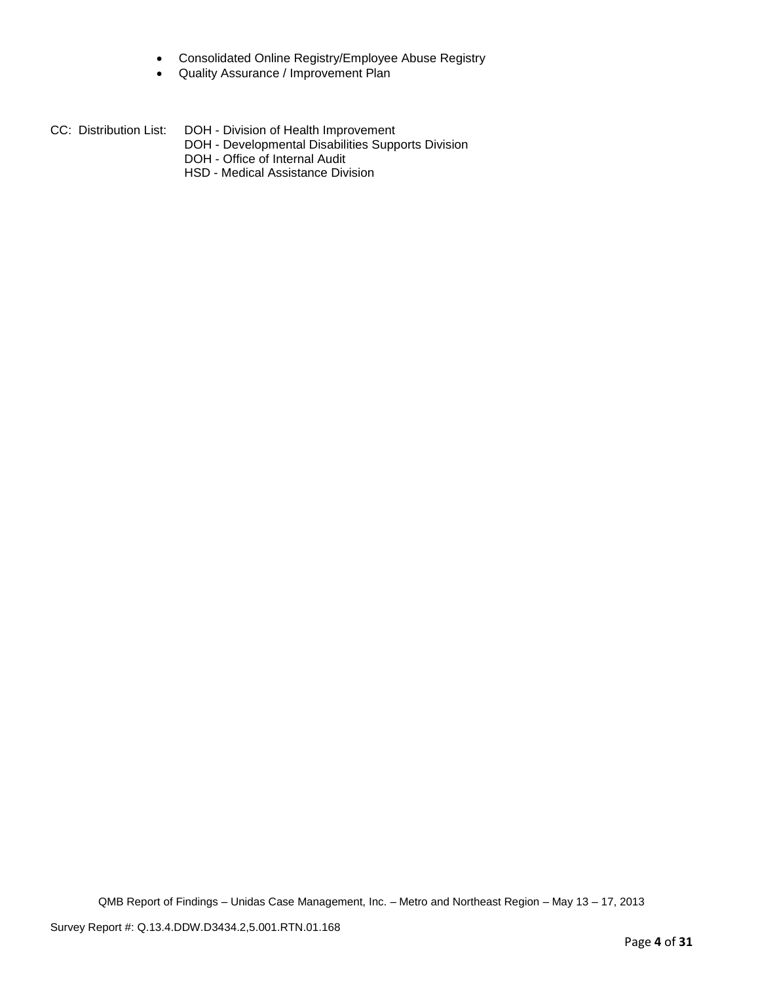- Consolidated Online Registry/Employee Abuse Registry
- Quality Assurance / Improvement Plan
- CC: Distribution List: DOH Division of Health Improvement
	- DOH Developmental Disabilities Supports Division
	- DOH Office of Internal Audit
	- HSD Medical Assistance Division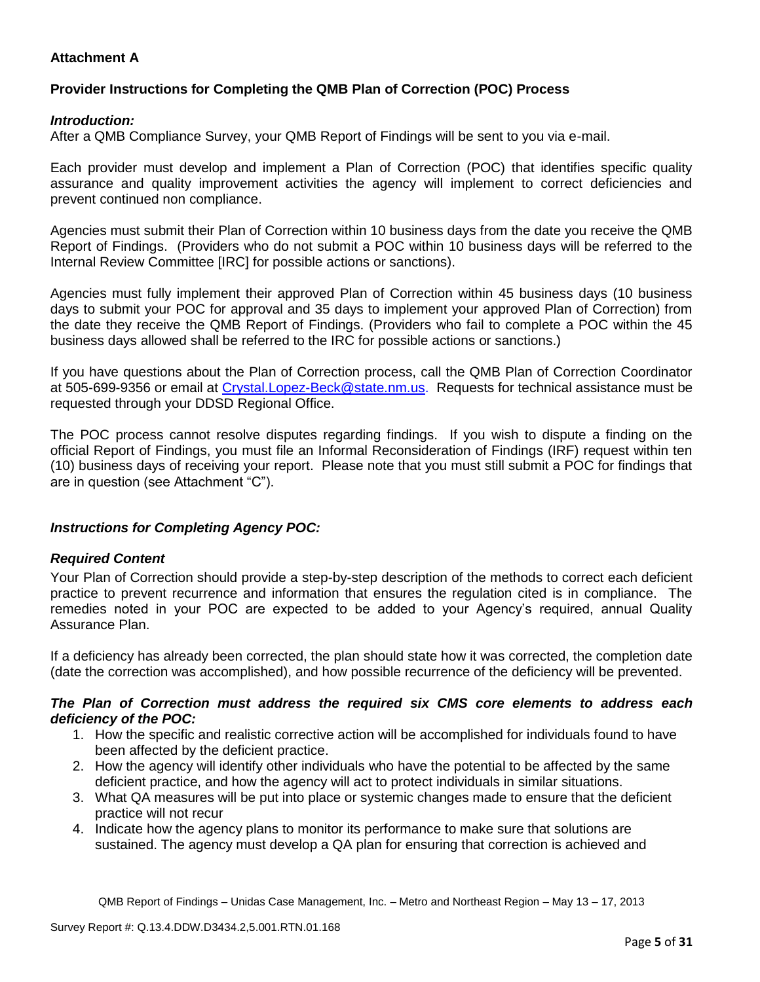# **Attachment A**

# **Provider Instructions for Completing the QMB Plan of Correction (POC) Process**

### *Introduction:*

After a QMB Compliance Survey, your QMB Report of Findings will be sent to you via e-mail.

Each provider must develop and implement a Plan of Correction (POC) that identifies specific quality assurance and quality improvement activities the agency will implement to correct deficiencies and prevent continued non compliance.

Agencies must submit their Plan of Correction within 10 business days from the date you receive the QMB Report of Findings. (Providers who do not submit a POC within 10 business days will be referred to the Internal Review Committee [IRC] for possible actions or sanctions).

Agencies must fully implement their approved Plan of Correction within 45 business days (10 business days to submit your POC for approval and 35 days to implement your approved Plan of Correction) from the date they receive the QMB Report of Findings. (Providers who fail to complete a POC within the 45 business days allowed shall be referred to the IRC for possible actions or sanctions.)

If you have questions about the Plan of Correction process, call the QMB Plan of Correction Coordinator at 505-699-9356 or email at Crystal.Lopez-Beck@state.nm.us. Requests for technical assistance must be requested through your DDSD Regional Office.

The POC process cannot resolve disputes regarding findings. If you wish to dispute a finding on the official Report of Findings, you must file an Informal Reconsideration of Findings (IRF) request within ten (10) business days of receiving your report. Please note that you must still submit a POC for findings that are in question (see Attachment "C").

# *Instructions for Completing Agency POC:*

#### *Required Content*

Your Plan of Correction should provide a step-by-step description of the methods to correct each deficient practice to prevent recurrence and information that ensures the regulation cited is in compliance. The remedies noted in your POC are expected to be added to your Agency's required, annual Quality Assurance Plan.

If a deficiency has already been corrected, the plan should state how it was corrected, the completion date (date the correction was accomplished), and how possible recurrence of the deficiency will be prevented.

#### *The Plan of Correction must address the required six CMS core elements to address each deficiency of the POC:*

- 1. How the specific and realistic corrective action will be accomplished for individuals found to have been affected by the deficient practice.
- 2. How the agency will identify other individuals who have the potential to be affected by the same deficient practice, and how the agency will act to protect individuals in similar situations.
- 3. What QA measures will be put into place or systemic changes made to ensure that the deficient practice will not recur
- 4. Indicate how the agency plans to monitor its performance to make sure that solutions are sustained. The agency must develop a QA plan for ensuring that correction is achieved and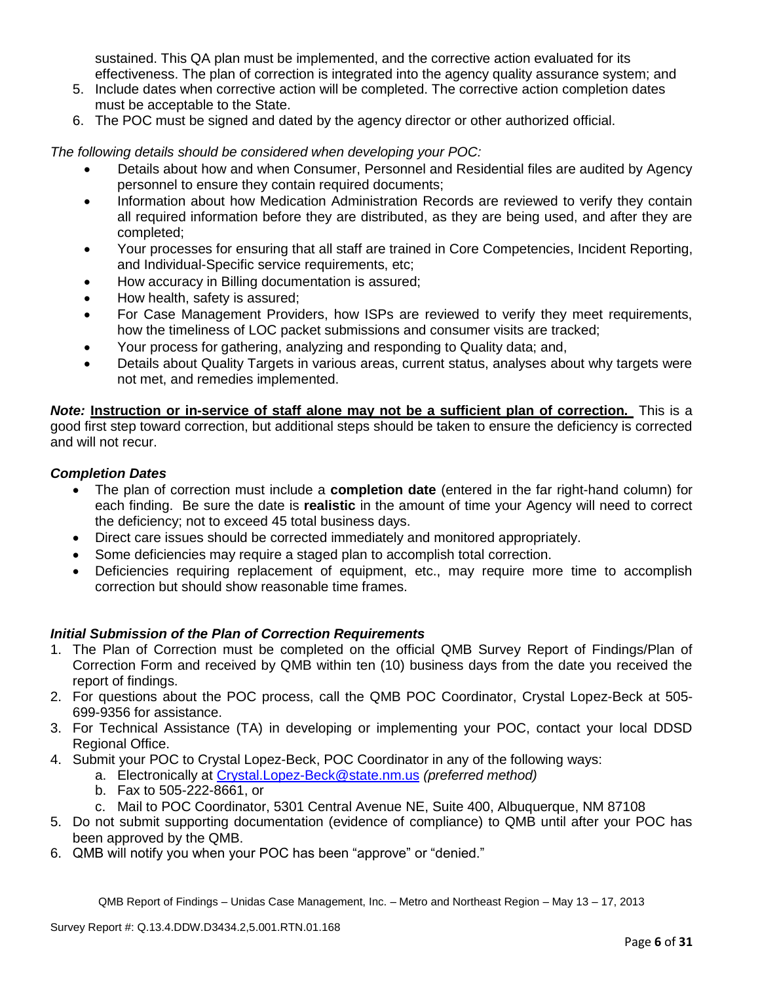sustained. This QA plan must be implemented, and the corrective action evaluated for its effectiveness. The plan of correction is integrated into the agency quality assurance system; and

- 5. Include dates when corrective action will be completed. The corrective action completion dates must be acceptable to the State.
- 6. The POC must be signed and dated by the agency director or other authorized official.

*The following details should be considered when developing your POC:*

- Details about how and when Consumer, Personnel and Residential files are audited by Agency personnel to ensure they contain required documents;
- Information about how Medication Administration Records are reviewed to verify they contain all required information before they are distributed, as they are being used, and after they are completed;
- Your processes for ensuring that all staff are trained in Core Competencies, Incident Reporting, and Individual-Specific service requirements, etc;
- How accuracy in Billing documentation is assured;
- How health, safety is assured;
- For Case Management Providers, how ISPs are reviewed to verify they meet requirements, how the timeliness of LOC packet submissions and consumer visits are tracked;
- Your process for gathering, analyzing and responding to Quality data; and,
- Details about Quality Targets in various areas, current status, analyses about why targets were not met, and remedies implemented.

*Note:* **Instruction or in-service of staff alone may not be a sufficient plan of correction.** This is a good first step toward correction, but additional steps should be taken to ensure the deficiency is corrected and will not recur.

### *Completion Dates*

- The plan of correction must include a **completion date** (entered in the far right-hand column) for each finding. Be sure the date is **realistic** in the amount of time your Agency will need to correct the deficiency; not to exceed 45 total business days.
- Direct care issues should be corrected immediately and monitored appropriately.
- Some deficiencies may require a staged plan to accomplish total correction.
- Deficiencies requiring replacement of equipment, etc., may require more time to accomplish correction but should show reasonable time frames.

# *Initial Submission of the Plan of Correction Requirements*

- 1. The Plan of Correction must be completed on the official QMB Survey Report of Findings/Plan of Correction Form and received by QMB within ten (10) business days from the date you received the report of findings.
- 2. For questions about the POC process, call the QMB POC Coordinator, Crystal Lopez-Beck at 505- 699-9356 for assistance.
- 3. For Technical Assistance (TA) in developing or implementing your POC, contact your local DDSD Regional Office.
- 4. Submit your POC to Crystal Lopez-Beck, POC Coordinator in any of the following ways:
	- a. Electronically at Crystal.Lopez-Beck@state.nm.us *(preferred method)*
	- b. Fax to 505-222-8661, or
	- c. Mail to POC Coordinator, 5301 Central Avenue NE, Suite 400, Albuquerque, NM 87108
- 5. Do not submit supporting documentation (evidence of compliance) to QMB until after your POC has been approved by the QMB.
- 6. QMB will notify you when your POC has been "approve" or "denied."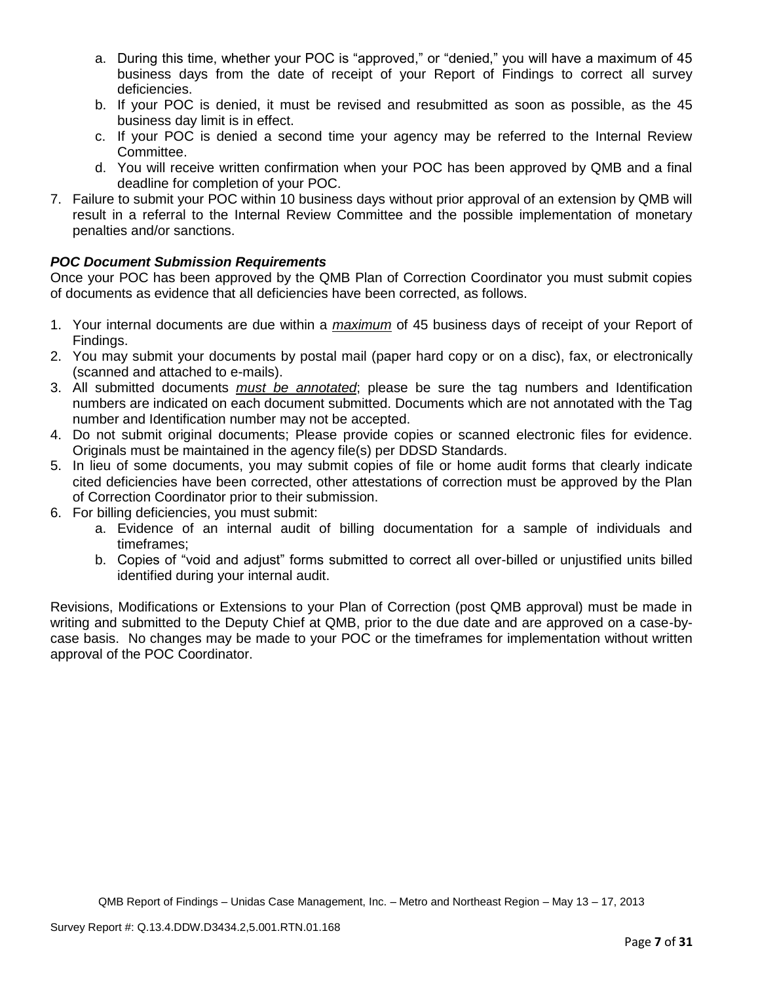- a. During this time, whether your POC is "approved," or "denied," you will have a maximum of 45 business days from the date of receipt of your Report of Findings to correct all survey deficiencies.
- b. If your POC is denied, it must be revised and resubmitted as soon as possible, as the 45 business day limit is in effect.
- c. If your POC is denied a second time your agency may be referred to the Internal Review Committee.
- d. You will receive written confirmation when your POC has been approved by QMB and a final deadline for completion of your POC.
- 7. Failure to submit your POC within 10 business days without prior approval of an extension by QMB will result in a referral to the Internal Review Committee and the possible implementation of monetary penalties and/or sanctions.

# *POC Document Submission Requirements*

Once your POC has been approved by the QMB Plan of Correction Coordinator you must submit copies of documents as evidence that all deficiencies have been corrected, as follows.

- 1. Your internal documents are due within a *maximum* of 45 business days of receipt of your Report of Findings.
- 2. You may submit your documents by postal mail (paper hard copy or on a disc), fax, or electronically (scanned and attached to e-mails).
- 3. All submitted documents *must be annotated*; please be sure the tag numbers and Identification numbers are indicated on each document submitted. Documents which are not annotated with the Tag number and Identification number may not be accepted.
- 4. Do not submit original documents; Please provide copies or scanned electronic files for evidence. Originals must be maintained in the agency file(s) per DDSD Standards.
- 5. In lieu of some documents, you may submit copies of file or home audit forms that clearly indicate cited deficiencies have been corrected, other attestations of correction must be approved by the Plan of Correction Coordinator prior to their submission.
- 6. For billing deficiencies, you must submit:
	- a. Evidence of an internal audit of billing documentation for a sample of individuals and timeframes;
	- b. Copies of "void and adjust" forms submitted to correct all over-billed or unjustified units billed identified during your internal audit.

Revisions, Modifications or Extensions to your Plan of Correction (post QMB approval) must be made in writing and submitted to the Deputy Chief at QMB, prior to the due date and are approved on a case-bycase basis. No changes may be made to your POC or the timeframes for implementation without written approval of the POC Coordinator.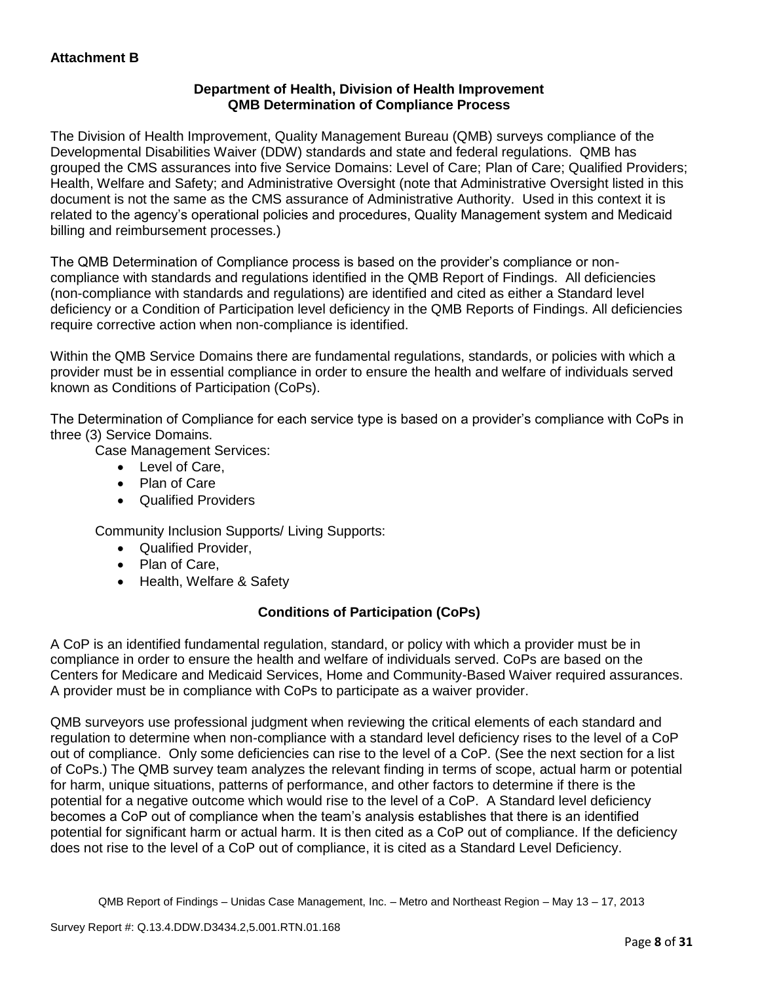## **Department of Health, Division of Health Improvement QMB Determination of Compliance Process**

The Division of Health Improvement, Quality Management Bureau (QMB) surveys compliance of the Developmental Disabilities Waiver (DDW) standards and state and federal regulations. QMB has grouped the CMS assurances into five Service Domains: Level of Care; Plan of Care; Qualified Providers; Health, Welfare and Safety; and Administrative Oversight (note that Administrative Oversight listed in this document is not the same as the CMS assurance of Administrative Authority. Used in this context it is related to the agency's operational policies and procedures, Quality Management system and Medicaid billing and reimbursement processes.)

The QMB Determination of Compliance process is based on the provider's compliance or noncompliance with standards and regulations identified in the QMB Report of Findings. All deficiencies (non-compliance with standards and regulations) are identified and cited as either a Standard level deficiency or a Condition of Participation level deficiency in the QMB Reports of Findings. All deficiencies require corrective action when non-compliance is identified.

Within the QMB Service Domains there are fundamental regulations, standards, or policies with which a provider must be in essential compliance in order to ensure the health and welfare of individuals served known as Conditions of Participation (CoPs).

The Determination of Compliance for each service type is based on a provider's compliance with CoPs in three (3) Service Domains.

Case Management Services:

- Level of Care,
- Plan of Care
- Qualified Providers

Community Inclusion Supports/ Living Supports:

- Qualified Provider,
- Plan of Care,
- Health, Welfare & Safety

# **Conditions of Participation (CoPs)**

A CoP is an identified fundamental regulation, standard, or policy with which a provider must be in compliance in order to ensure the health and welfare of individuals served. CoPs are based on the Centers for Medicare and Medicaid Services, Home and Community-Based Waiver required assurances. A provider must be in compliance with CoPs to participate as a waiver provider.

QMB surveyors use professional judgment when reviewing the critical elements of each standard and regulation to determine when non-compliance with a standard level deficiency rises to the level of a CoP out of compliance. Only some deficiencies can rise to the level of a CoP. (See the next section for a list of CoPs.) The QMB survey team analyzes the relevant finding in terms of scope, actual harm or potential for harm, unique situations, patterns of performance, and other factors to determine if there is the potential for a negative outcome which would rise to the level of a CoP. A Standard level deficiency becomes a CoP out of compliance when the team's analysis establishes that there is an identified potential for significant harm or actual harm. It is then cited as a CoP out of compliance. If the deficiency does not rise to the level of a CoP out of compliance, it is cited as a Standard Level Deficiency.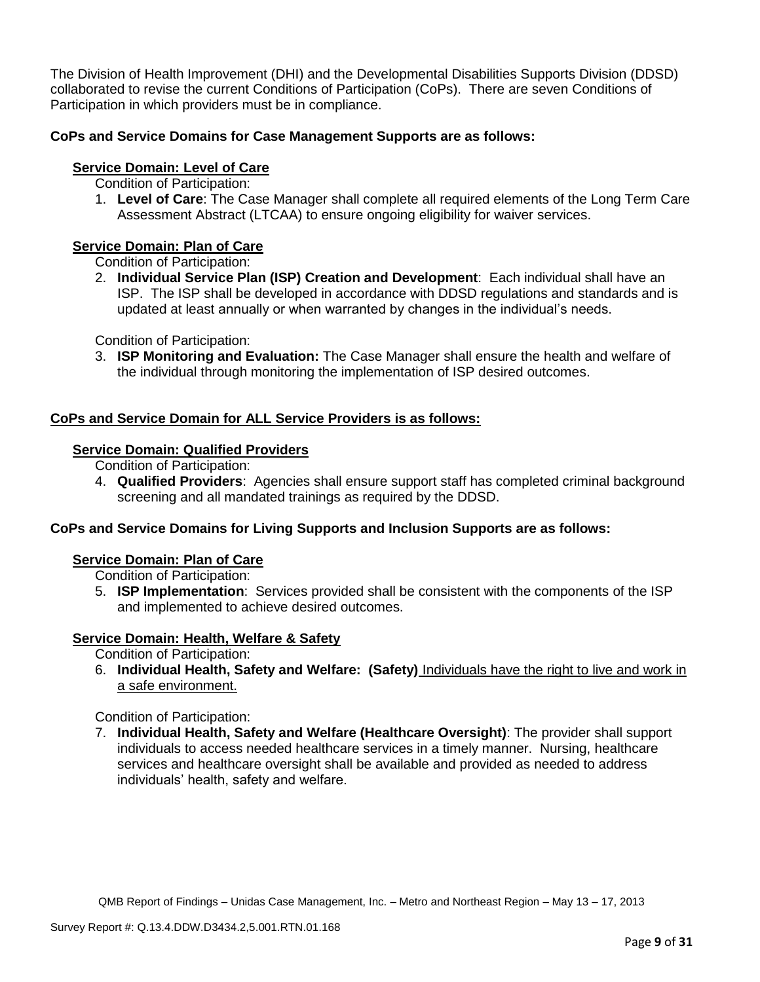The Division of Health Improvement (DHI) and the Developmental Disabilities Supports Division (DDSD) collaborated to revise the current Conditions of Participation (CoPs). There are seven Conditions of Participation in which providers must be in compliance.

# **CoPs and Service Domains for Case Management Supports are as follows:**

# **Service Domain: Level of Care**

Condition of Participation:

1. **Level of Care**: The Case Manager shall complete all required elements of the Long Term Care Assessment Abstract (LTCAA) to ensure ongoing eligibility for waiver services.

# **Service Domain: Plan of Care**

Condition of Participation:

2. **Individual Service Plan (ISP) Creation and Development**: Each individual shall have an ISP. The ISP shall be developed in accordance with DDSD regulations and standards and is updated at least annually or when warranted by changes in the individual's needs.

Condition of Participation:

3. **ISP Monitoring and Evaluation:** The Case Manager shall ensure the health and welfare of the individual through monitoring the implementation of ISP desired outcomes.

# **CoPs and Service Domain for ALL Service Providers is as follows:**

### **Service Domain: Qualified Providers**

- Condition of Participation:
- 4. **Qualified Providers**: Agencies shall ensure support staff has completed criminal background screening and all mandated trainings as required by the DDSD.

# **CoPs and Service Domains for Living Supports and Inclusion Supports are as follows:**

#### **Service Domain: Plan of Care**

Condition of Participation:

5. **ISP Implementation**: Services provided shall be consistent with the components of the ISP and implemented to achieve desired outcomes.

# **Service Domain: Health, Welfare & Safety**

Condition of Participation:

6. **Individual Health, Safety and Welfare: (Safety)** Individuals have the right to live and work in a safe environment.

Condition of Participation:

7. **Individual Health, Safety and Welfare (Healthcare Oversight)**: The provider shall support individuals to access needed healthcare services in a timely manner. Nursing, healthcare services and healthcare oversight shall be available and provided as needed to address individuals' health, safety and welfare.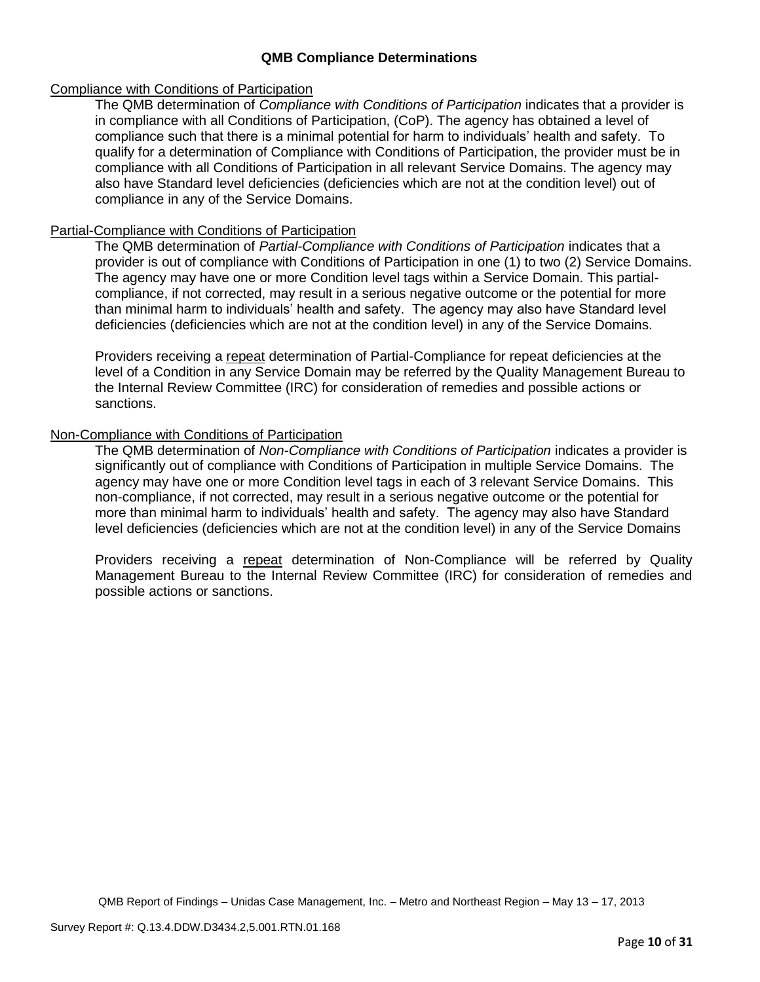### **QMB Compliance Determinations**

#### Compliance with Conditions of Participation

The QMB determination of *Compliance with Conditions of Participation* indicates that a provider is in compliance with all Conditions of Participation, (CoP). The agency has obtained a level of compliance such that there is a minimal potential for harm to individuals' health and safety. To qualify for a determination of Compliance with Conditions of Participation, the provider must be in compliance with all Conditions of Participation in all relevant Service Domains. The agency may also have Standard level deficiencies (deficiencies which are not at the condition level) out of compliance in any of the Service Domains.

### Partial-Compliance with Conditions of Participation

The QMB determination of *Partial-Compliance with Conditions of Participation* indicates that a provider is out of compliance with Conditions of Participation in one (1) to two (2) Service Domains. The agency may have one or more Condition level tags within a Service Domain. This partialcompliance, if not corrected, may result in a serious negative outcome or the potential for more than minimal harm to individuals' health and safety. The agency may also have Standard level deficiencies (deficiencies which are not at the condition level) in any of the Service Domains.

Providers receiving a repeat determination of Partial-Compliance for repeat deficiencies at the level of a Condition in any Service Domain may be referred by the Quality Management Bureau to the Internal Review Committee (IRC) for consideration of remedies and possible actions or sanctions.

### Non-Compliance with Conditions of Participation

The QMB determination of *Non-Compliance with Conditions of Participation* indicates a provider is significantly out of compliance with Conditions of Participation in multiple Service Domains. The agency may have one or more Condition level tags in each of 3 relevant Service Domains. This non-compliance, if not corrected, may result in a serious negative outcome or the potential for more than minimal harm to individuals' health and safety. The agency may also have Standard level deficiencies (deficiencies which are not at the condition level) in any of the Service Domains

Providers receiving a repeat determination of Non-Compliance will be referred by Quality Management Bureau to the Internal Review Committee (IRC) for consideration of remedies and possible actions or sanctions.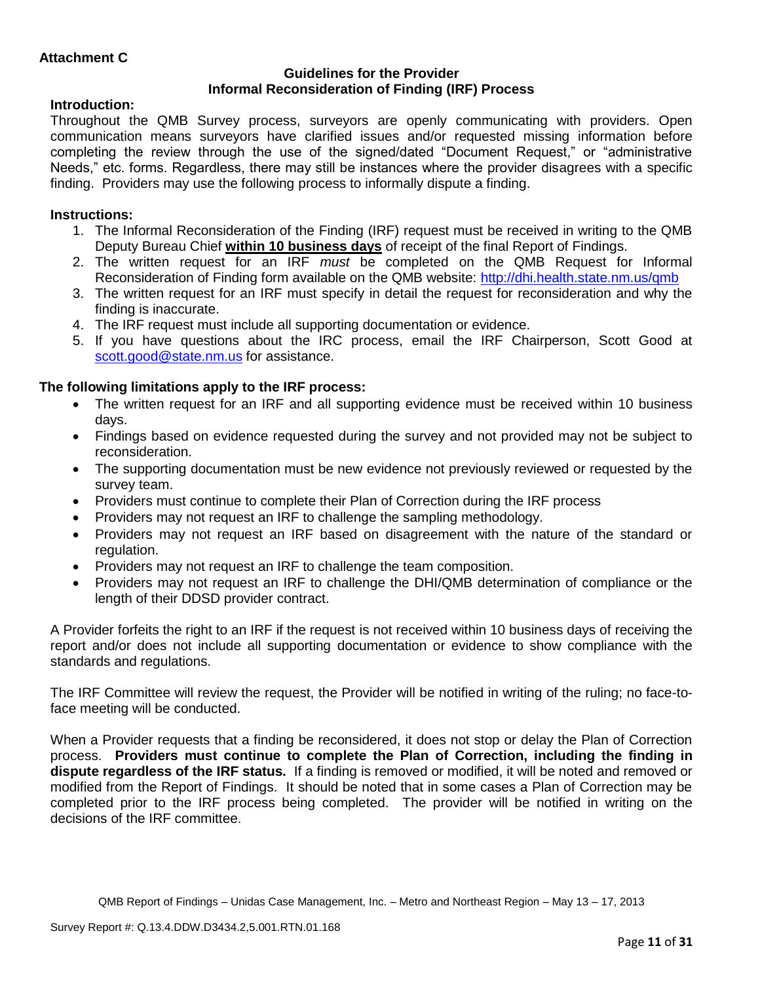### **Guidelines for the Provider Informal Reconsideration of Finding (IRF) Process**

# **Introduction:**

Throughout the QMB Survey process, surveyors are openly communicating with providers. Open communication means surveyors have clarified issues and/or requested missing information before completing the review through the use of the signed/dated "Document Request," or "administrative Needs," etc. forms. Regardless, there may still be instances where the provider disagrees with a specific finding. Providers may use the following process to informally dispute a finding.

# **Instructions:**

- 1. The Informal Reconsideration of the Finding (IRF) request must be received in writing to the QMB Deputy Bureau Chief **within 10 business days** of receipt of the final Report of Findings.
- 2. The written request for an IRF *must* be completed on the QMB Request for Informal Reconsideration of Finding form available on the QMB website:<http://dhi.health.state.nm.us/qmb>
- 3. The written request for an IRF must specify in detail the request for reconsideration and why the finding is inaccurate.
- 4. The IRF request must include all supporting documentation or evidence.
- 5. If you have questions about the IRC process, email the IRF Chairperson, Scott Good at [scott.good@state.nm.us](mailto:scott.good@state.nm.us) for assistance.

# **The following limitations apply to the IRF process:**

- The written request for an IRF and all supporting evidence must be received within 10 business days.
- Findings based on evidence requested during the survey and not provided may not be subject to reconsideration.
- The supporting documentation must be new evidence not previously reviewed or requested by the survey team.
- Providers must continue to complete their Plan of Correction during the IRF process
- Providers may not request an IRF to challenge the sampling methodology.
- Providers may not request an IRF based on disagreement with the nature of the standard or regulation.
- Providers may not request an IRF to challenge the team composition.
- Providers may not request an IRF to challenge the DHI/QMB determination of compliance or the length of their DDSD provider contract.

A Provider forfeits the right to an IRF if the request is not received within 10 business days of receiving the report and/or does not include all supporting documentation or evidence to show compliance with the standards and regulations.

The IRF Committee will review the request, the Provider will be notified in writing of the ruling; no face-toface meeting will be conducted.

When a Provider requests that a finding be reconsidered, it does not stop or delay the Plan of Correction process. **Providers must continue to complete the Plan of Correction, including the finding in dispute regardless of the IRF status.** If a finding is removed or modified, it will be noted and removed or modified from the Report of Findings. It should be noted that in some cases a Plan of Correction may be completed prior to the IRF process being completed. The provider will be notified in writing on the decisions of the IRF committee.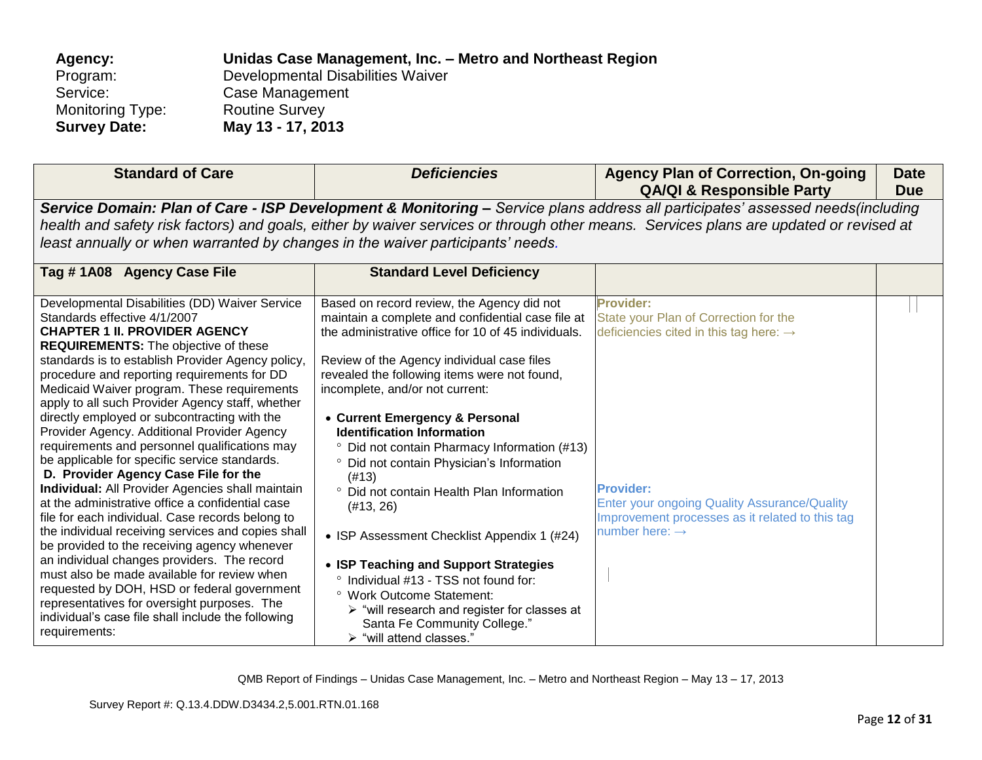| Agency:                 | Unidas Case Management, Inc. - Metro and Northeast Region |
|-------------------------|-----------------------------------------------------------|
| Program:                | Developmental Disabilities Waiver                         |
| Service:                | Case Management                                           |
| <b>Monitoring Type:</b> | <b>Routine Survey</b>                                     |
| <b>Survey Date:</b>     | May 13 - 17, 2013                                         |

| <b>Standard of Care</b>                                                                                                                                                                                                                                                                                                                                                                                                                                                                                                                                                                                                                                                                                                                                                                                                                                                                                                                                                                                                                                                                                                                                    | <b>Deficiencies</b>                                                                                                                                                                                                                                                                                                                                                                                                                                                                                                                                                                                                                                                                                                                                                                                                                | <b>Agency Plan of Correction, On-going</b><br><b>QA/QI &amp; Responsible Party</b>                                                                                                                                                                                          | <b>Date</b><br><b>Due</b> |
|------------------------------------------------------------------------------------------------------------------------------------------------------------------------------------------------------------------------------------------------------------------------------------------------------------------------------------------------------------------------------------------------------------------------------------------------------------------------------------------------------------------------------------------------------------------------------------------------------------------------------------------------------------------------------------------------------------------------------------------------------------------------------------------------------------------------------------------------------------------------------------------------------------------------------------------------------------------------------------------------------------------------------------------------------------------------------------------------------------------------------------------------------------|------------------------------------------------------------------------------------------------------------------------------------------------------------------------------------------------------------------------------------------------------------------------------------------------------------------------------------------------------------------------------------------------------------------------------------------------------------------------------------------------------------------------------------------------------------------------------------------------------------------------------------------------------------------------------------------------------------------------------------------------------------------------------------------------------------------------------------|-----------------------------------------------------------------------------------------------------------------------------------------------------------------------------------------------------------------------------------------------------------------------------|---------------------------|
| least annually or when warranted by changes in the waiver participants' needs.                                                                                                                                                                                                                                                                                                                                                                                                                                                                                                                                                                                                                                                                                                                                                                                                                                                                                                                                                                                                                                                                             |                                                                                                                                                                                                                                                                                                                                                                                                                                                                                                                                                                                                                                                                                                                                                                                                                                    | Service Domain: Plan of Care - ISP Development & Monitoring - Service plans address all participates' assessed needs(including<br>health and safety risk factors) and goals, either by waiver services or through other means. Services plans are updated or revised at     |                           |
| Tag #1A08 Agency Case File                                                                                                                                                                                                                                                                                                                                                                                                                                                                                                                                                                                                                                                                                                                                                                                                                                                                                                                                                                                                                                                                                                                                 | <b>Standard Level Deficiency</b>                                                                                                                                                                                                                                                                                                                                                                                                                                                                                                                                                                                                                                                                                                                                                                                                   |                                                                                                                                                                                                                                                                             |                           |
| Developmental Disabilities (DD) Waiver Service<br>Standards effective 4/1/2007<br><b>CHAPTER 1 II. PROVIDER AGENCY</b><br><b>REQUIREMENTS:</b> The objective of these<br>standards is to establish Provider Agency policy,<br>procedure and reporting requirements for DD<br>Medicaid Waiver program. These requirements<br>apply to all such Provider Agency staff, whether<br>directly employed or subcontracting with the<br>Provider Agency. Additional Provider Agency<br>requirements and personnel qualifications may<br>be applicable for specific service standards.<br>D. Provider Agency Case File for the<br>Individual: All Provider Agencies shall maintain<br>at the administrative office a confidential case<br>file for each individual. Case records belong to<br>the individual receiving services and copies shall<br>be provided to the receiving agency whenever<br>an individual changes providers. The record<br>must also be made available for review when<br>requested by DOH, HSD or federal government<br>representatives for oversight purposes. The<br>individual's case file shall include the following<br>requirements: | Based on record review, the Agency did not<br>maintain a complete and confidential case file at<br>the administrative office for 10 of 45 individuals.<br>Review of the Agency individual case files<br>revealed the following items were not found,<br>incomplete, and/or not current:<br>• Current Emergency & Personal<br><b>Identification Information</b><br><sup>o</sup> Did not contain Pharmacy Information (#13)<br>° Did not contain Physician's Information<br>(#13)<br>° Did not contain Health Plan Information<br>(H13, 26)<br>• ISP Assessment Checklist Appendix 1 (#24)<br>• ISP Teaching and Support Strategies<br>° Individual #13 - TSS not found for:<br>° Work Outcome Statement:<br>$\triangleright$ "will research and register for classes at<br>Santa Fe Community College."<br>> "will attend classes." | <b>Provider:</b><br>State your Plan of Correction for the<br>deficiencies cited in this tag here: $\rightarrow$<br><b>Provider:</b><br><b>Enter your ongoing Quality Assurance/Quality</b><br>Improvement processes as it related to this tag<br>number here: $\rightarrow$ |                           |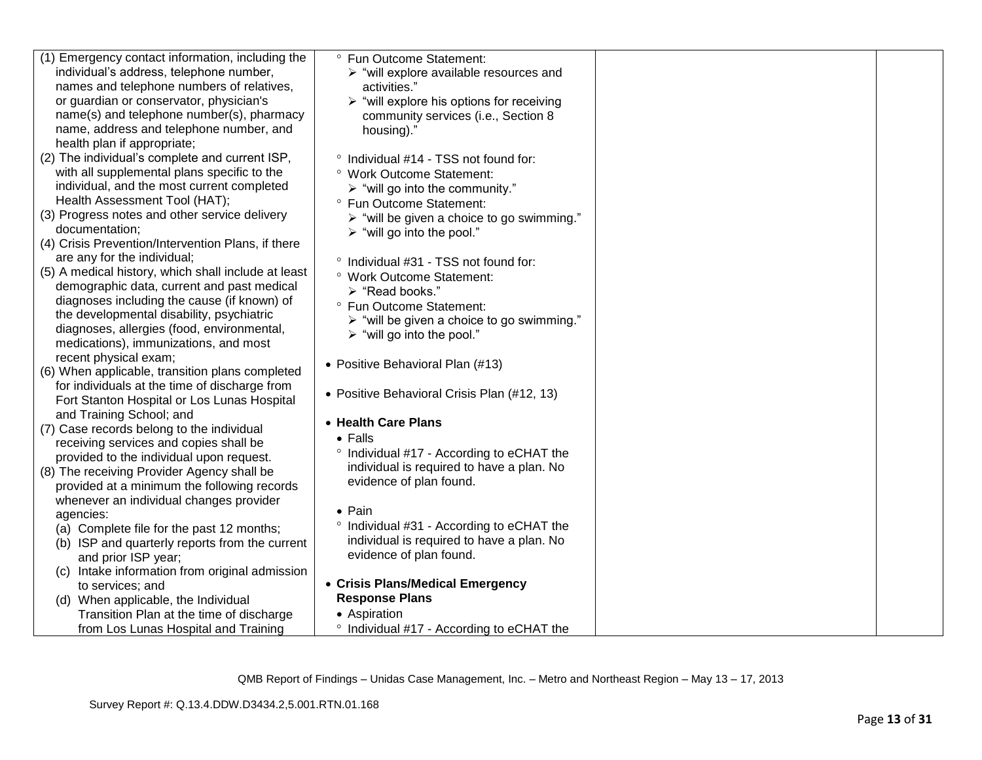| (1) Emergency contact information, including the    | ° Fun Outcome Statement:                                  |  |
|-----------------------------------------------------|-----------------------------------------------------------|--|
| individual's address, telephone number,             | $\triangleright$ "will explore available resources and    |  |
| names and telephone numbers of relatives,           | activities."                                              |  |
| or guardian or conservator, physician's             | $\triangleright$ "will explore his options for receiving  |  |
| name(s) and telephone number(s), pharmacy           | community services (i.e., Section 8                       |  |
| name, address and telephone number, and             | housing)."                                                |  |
| health plan if appropriate;                         |                                                           |  |
| (2) The individual's complete and current ISP,      | ° Individual #14 - TSS not found for:                     |  |
| with all supplemental plans specific to the         | ° Work Outcome Statement:                                 |  |
| individual, and the most current completed          | $\triangleright$ "will go into the community."            |  |
| Health Assessment Tool (HAT);                       | ° Fun Outcome Statement:                                  |  |
| (3) Progress notes and other service delivery       | $\triangleright$ "will be given a choice to go swimming." |  |
| documentation;                                      | $\triangleright$ "will go into the pool."                 |  |
| (4) Crisis Prevention/Intervention Plans, if there  |                                                           |  |
| are any for the individual;                         | ° Individual #31 - TSS not found for:                     |  |
| (5) A medical history, which shall include at least | ° Work Outcome Statement:                                 |  |
| demographic data, current and past medical          | > "Read books."                                           |  |
| diagnoses including the cause (if known) of         | ° Fun Outcome Statement:                                  |  |
| the developmental disability, psychiatric           | > "will be given a choice to go swimming."                |  |
| diagnoses, allergies (food, environmental,          | $\triangleright$ "will go into the pool."                 |  |
| medications), immunizations, and most               |                                                           |  |
| recent physical exam;                               | • Positive Behavioral Plan (#13)                          |  |
| (6) When applicable, transition plans completed     |                                                           |  |
| for individuals at the time of discharge from       | • Positive Behavioral Crisis Plan (#12, 13)               |  |
| Fort Stanton Hospital or Los Lunas Hospital         |                                                           |  |
| and Training School; and                            | • Health Care Plans                                       |  |
| (7) Case records belong to the individual           | $\bullet$ Falls                                           |  |
| receiving services and copies shall be              | ° Individual #17 - According to eCHAT the                 |  |
| provided to the individual upon request.            | individual is required to have a plan. No                 |  |
| (8) The receiving Provider Agency shall be          | evidence of plan found.                                   |  |
| provided at a minimum the following records         |                                                           |  |
| whenever an individual changes provider             | $\bullet$ Pain                                            |  |
| agencies:                                           | ° Individual #31 - According to eCHAT the                 |  |
| (a) Complete file for the past 12 months;           | individual is required to have a plan. No                 |  |
| (b) ISP and quarterly reports from the current      | evidence of plan found.                                   |  |
| and prior ISP year;                                 |                                                           |  |
| (c) Intake information from original admission      | • Crisis Plans/Medical Emergency                          |  |
| to services; and                                    | <b>Response Plans</b>                                     |  |
| (d) When applicable, the Individual                 | • Aspiration                                              |  |
| Transition Plan at the time of discharge            |                                                           |  |
| from Los Lunas Hospital and Training                | ° Individual #17 - According to eCHAT the                 |  |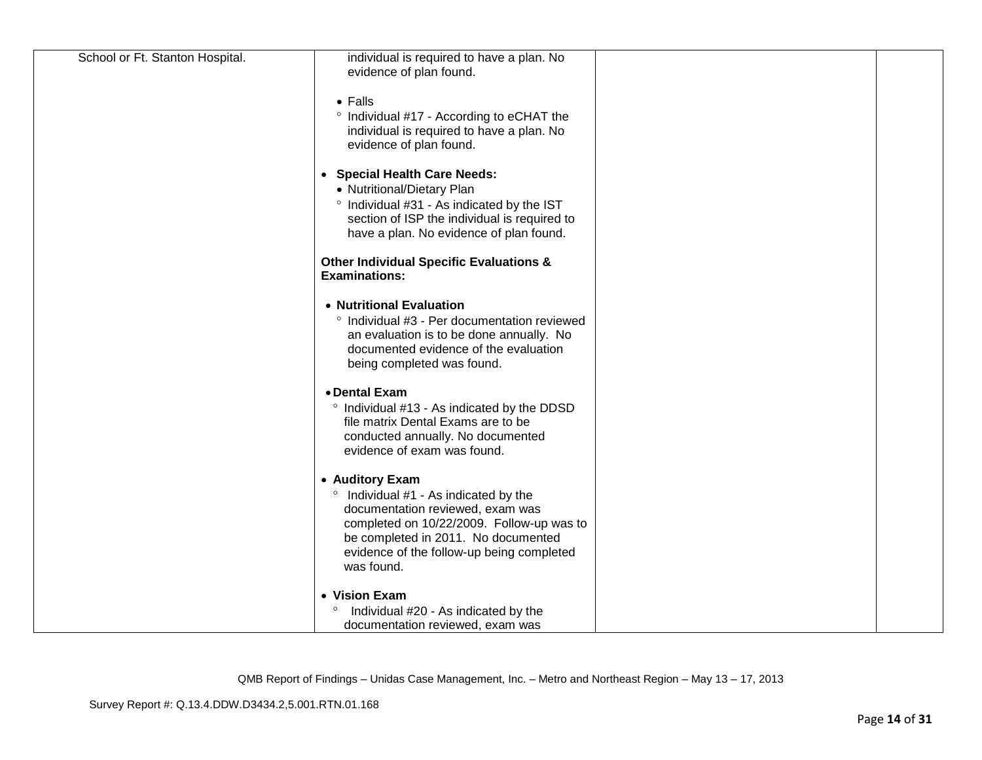| School or Ft. Stanton Hospital. | individual is required to have a plan. No          |  |
|---------------------------------|----------------------------------------------------|--|
|                                 | evidence of plan found.                            |  |
|                                 |                                                    |  |
|                                 | $\bullet$ Falls                                    |  |
|                                 | ° Individual #17 - According to eCHAT the          |  |
|                                 | individual is required to have a plan. No          |  |
|                                 | evidence of plan found.                            |  |
|                                 |                                                    |  |
|                                 | • Special Health Care Needs:                       |  |
|                                 | • Nutritional/Dietary Plan                         |  |
|                                 | ° Individual #31 - As indicated by the IST         |  |
|                                 | section of ISP the individual is required to       |  |
|                                 | have a plan. No evidence of plan found.            |  |
|                                 | <b>Other Individual Specific Evaluations &amp;</b> |  |
|                                 | <b>Examinations:</b>                               |  |
|                                 |                                                    |  |
|                                 | • Nutritional Evaluation                           |  |
|                                 | ° Individual #3 - Per documentation reviewed       |  |
|                                 | an evaluation is to be done annually. No           |  |
|                                 | documented evidence of the evaluation              |  |
|                                 | being completed was found.                         |  |
|                                 | • Dental Exam                                      |  |
|                                 | ° Individual #13 - As indicated by the DDSD        |  |
|                                 | file matrix Dental Exams are to be                 |  |
|                                 | conducted annually. No documented                  |  |
|                                 | evidence of exam was found.                        |  |
|                                 |                                                    |  |
|                                 | • Auditory Exam                                    |  |
|                                 | Individual #1 - As indicated by the                |  |
|                                 | documentation reviewed, exam was                   |  |
|                                 | completed on 10/22/2009. Follow-up was to          |  |
|                                 | be completed in 2011. No documented                |  |
|                                 | evidence of the follow-up being completed          |  |
|                                 | was found.                                         |  |
|                                 |                                                    |  |
|                                 | • Vision Exam                                      |  |
|                                 | Individual #20 - As indicated by the               |  |
|                                 | documentation reviewed, exam was                   |  |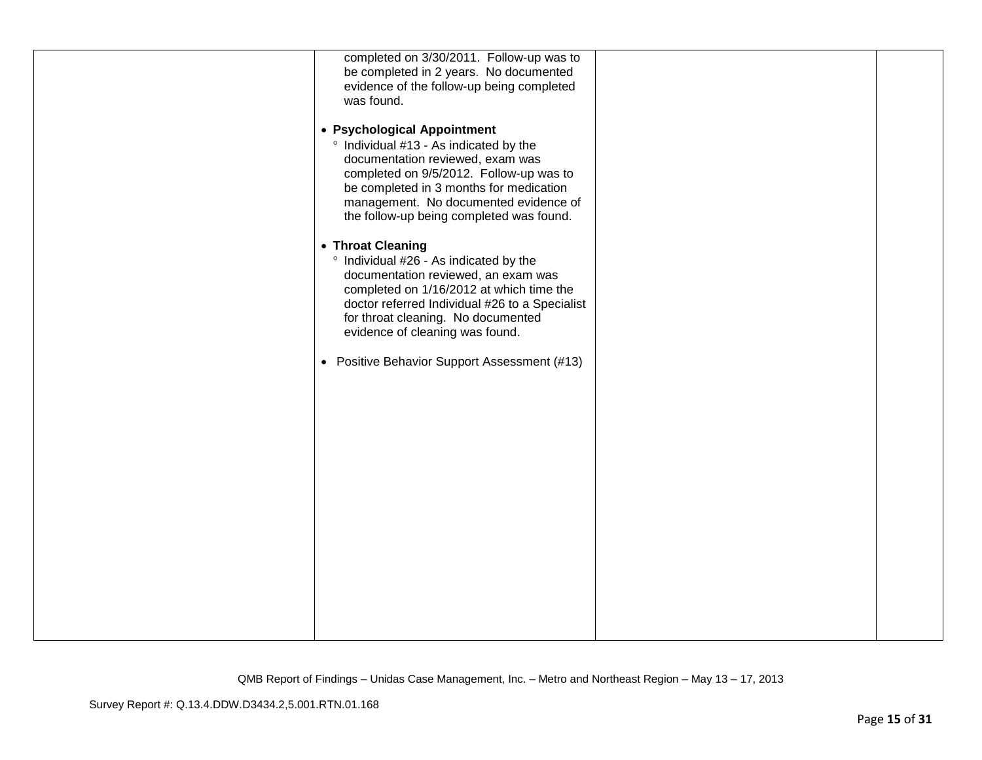| completed on 3/30/2011. Follow-up was to       |  |
|------------------------------------------------|--|
| be completed in 2 years. No documented         |  |
| evidence of the follow-up being completed      |  |
| was found.                                     |  |
|                                                |  |
| • Psychological Appointment                    |  |
| ° Individual #13 - As indicated by the         |  |
| documentation reviewed, exam was               |  |
| completed on 9/5/2012. Follow-up was to        |  |
| be completed in 3 months for medication        |  |
| management. No documented evidence of          |  |
| the follow-up being completed was found.       |  |
|                                                |  |
| • Throat Cleaning                              |  |
| ° Individual #26 - As indicated by the         |  |
| documentation reviewed, an exam was            |  |
| completed on 1/16/2012 at which time the       |  |
| doctor referred Individual #26 to a Specialist |  |
| for throat cleaning. No documented             |  |
|                                                |  |
| evidence of cleaning was found.                |  |
|                                                |  |
| • Positive Behavior Support Assessment (#13)   |  |
|                                                |  |
|                                                |  |
|                                                |  |
|                                                |  |
|                                                |  |
|                                                |  |
|                                                |  |
|                                                |  |
|                                                |  |
|                                                |  |
|                                                |  |
|                                                |  |
|                                                |  |
|                                                |  |
|                                                |  |
|                                                |  |
|                                                |  |
|                                                |  |
|                                                |  |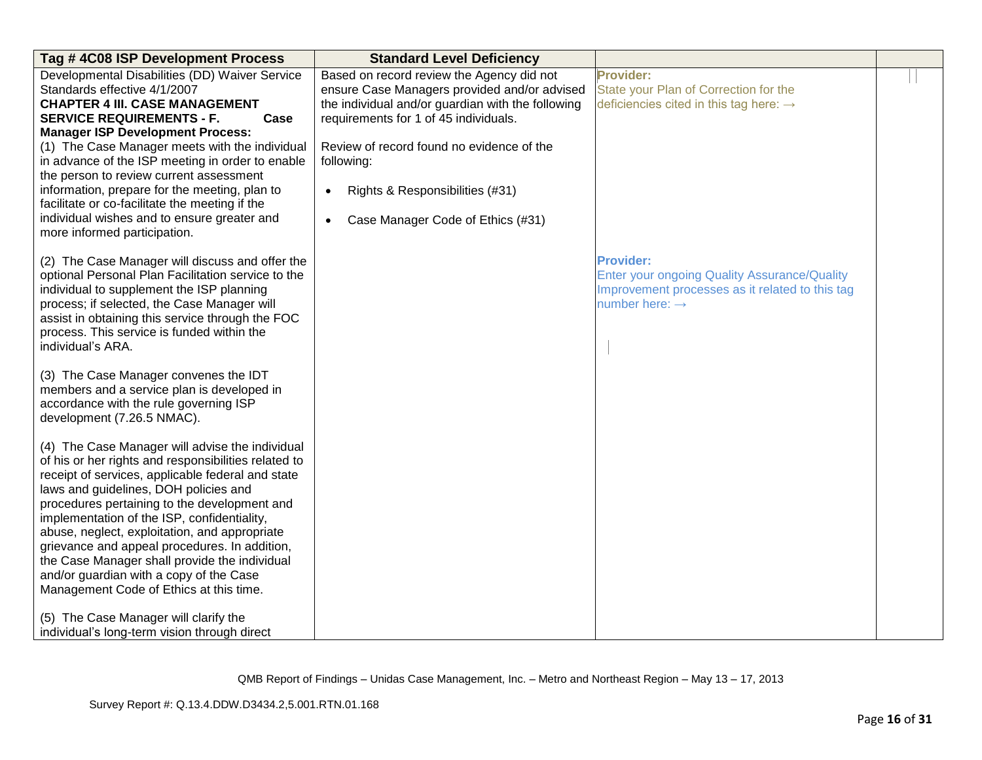| Tag #4C08 ISP Development Process                                                                                                                                                                                                                                                                                                                                                                                                                                                                                                                 | <b>Standard Level Deficiency</b>                                                                                                                                                                                                                                                                                                                     |                                                                                                                                                   |  |
|---------------------------------------------------------------------------------------------------------------------------------------------------------------------------------------------------------------------------------------------------------------------------------------------------------------------------------------------------------------------------------------------------------------------------------------------------------------------------------------------------------------------------------------------------|------------------------------------------------------------------------------------------------------------------------------------------------------------------------------------------------------------------------------------------------------------------------------------------------------------------------------------------------------|---------------------------------------------------------------------------------------------------------------------------------------------------|--|
| Developmental Disabilities (DD) Waiver Service<br>Standards effective 4/1/2007<br><b>CHAPTER 4 III. CASE MANAGEMENT</b><br><b>SERVICE REQUIREMENTS - F.</b><br>Case<br><b>Manager ISP Development Process:</b><br>(1) The Case Manager meets with the individual<br>in advance of the ISP meeting in order to enable<br>the person to review current assessment<br>information, prepare for the meeting, plan to<br>facilitate or co-facilitate the meeting if the<br>individual wishes and to ensure greater and<br>more informed participation. | Based on record review the Agency did not<br>ensure Case Managers provided and/or advised<br>the individual and/or guardian with the following<br>requirements for 1 of 45 individuals.<br>Review of record found no evidence of the<br>following:<br>Rights & Responsibilities (#31)<br>$\bullet$<br>Case Manager Code of Ethics (#31)<br>$\bullet$ | <b>Provider:</b><br>State your Plan of Correction for the<br>deficiencies cited in this tag here: $\rightarrow$                                   |  |
| (2) The Case Manager will discuss and offer the<br>optional Personal Plan Facilitation service to the<br>individual to supplement the ISP planning<br>process; if selected, the Case Manager will<br>assist in obtaining this service through the FOC<br>process. This service is funded within the<br>individual's ARA.                                                                                                                                                                                                                          |                                                                                                                                                                                                                                                                                                                                                      | <b>Provider:</b><br>Enter your ongoing Quality Assurance/Quality<br>Improvement processes as it related to this tag<br>number here: $\rightarrow$ |  |
| (3) The Case Manager convenes the IDT<br>members and a service plan is developed in<br>accordance with the rule governing ISP<br>development (7.26.5 NMAC).                                                                                                                                                                                                                                                                                                                                                                                       |                                                                                                                                                                                                                                                                                                                                                      |                                                                                                                                                   |  |
| (4) The Case Manager will advise the individual<br>of his or her rights and responsibilities related to<br>receipt of services, applicable federal and state<br>laws and guidelines, DOH policies and<br>procedures pertaining to the development and<br>implementation of the ISP, confidentiality,<br>abuse, neglect, exploitation, and appropriate<br>grievance and appeal procedures. In addition,<br>the Case Manager shall provide the individual<br>and/or guardian with a copy of the Case<br>Management Code of Ethics at this time.     |                                                                                                                                                                                                                                                                                                                                                      |                                                                                                                                                   |  |
| (5) The Case Manager will clarify the<br>individual's long-term vision through direct                                                                                                                                                                                                                                                                                                                                                                                                                                                             |                                                                                                                                                                                                                                                                                                                                                      |                                                                                                                                                   |  |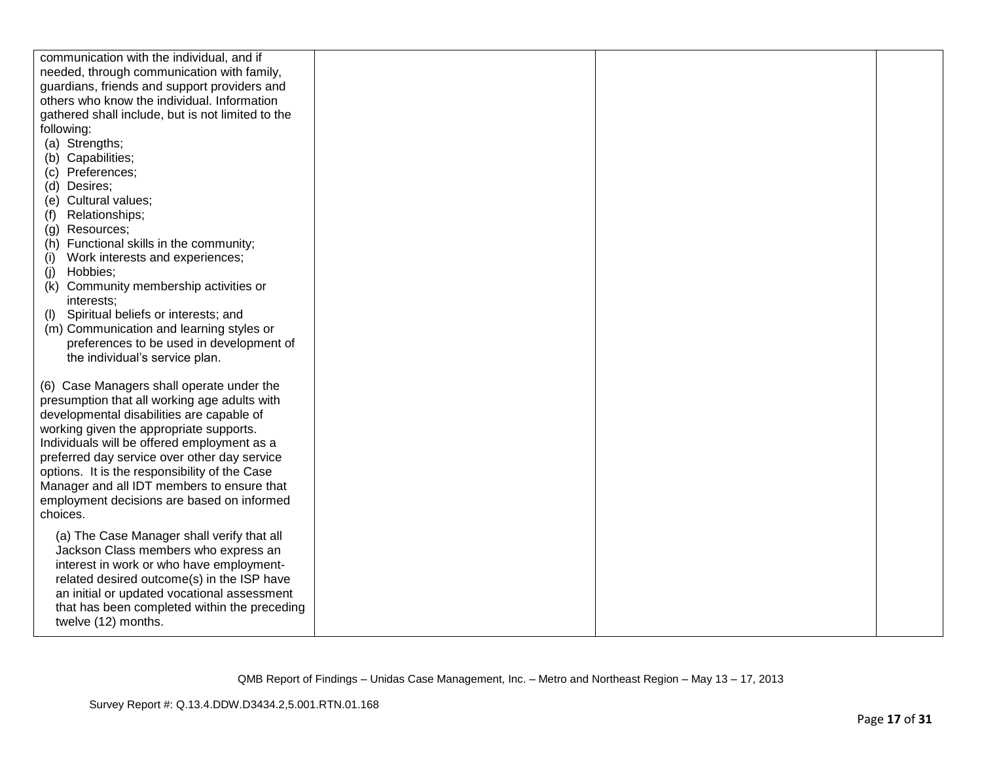| communication with the individual, and if                                                   |  |  |
|---------------------------------------------------------------------------------------------|--|--|
| needed, through communication with family,                                                  |  |  |
| guardians, friends and support providers and                                                |  |  |
| others who know the individual. Information                                                 |  |  |
| gathered shall include, but is not limited to the                                           |  |  |
| following:                                                                                  |  |  |
| (a) Strengths;                                                                              |  |  |
| (b) Capabilities;                                                                           |  |  |
| (c) Preferences;                                                                            |  |  |
| (d) Desires;                                                                                |  |  |
| (e) Cultural values;                                                                        |  |  |
| Relationships;<br>(f)                                                                       |  |  |
| Resources;<br>(g)                                                                           |  |  |
| Functional skills in the community;<br>(h)                                                  |  |  |
| Work interests and experiences;<br>(i)                                                      |  |  |
| Hobbies;<br>(j)                                                                             |  |  |
| Community membership activities or<br>(k)                                                   |  |  |
| interests;                                                                                  |  |  |
| Spiritual beliefs or interests; and<br>(I)                                                  |  |  |
| (m) Communication and learning styles or                                                    |  |  |
| preferences to be used in development of                                                    |  |  |
| the individual's service plan.                                                              |  |  |
|                                                                                             |  |  |
| (6) Case Managers shall operate under the                                                   |  |  |
| presumption that all working age adults with                                                |  |  |
| developmental disabilities are capable of                                                   |  |  |
| working given the appropriate supports.                                                     |  |  |
| Individuals will be offered employment as a<br>preferred day service over other day service |  |  |
| options. It is the responsibility of the Case                                               |  |  |
| Manager and all IDT members to ensure that                                                  |  |  |
| employment decisions are based on informed                                                  |  |  |
| choices.                                                                                    |  |  |
|                                                                                             |  |  |
| (a) The Case Manager shall verify that all                                                  |  |  |
| Jackson Class members who express an                                                        |  |  |
| interest in work or who have employment-                                                    |  |  |
| related desired outcome(s) in the ISP have                                                  |  |  |
| an initial or updated vocational assessment                                                 |  |  |
| that has been completed within the preceding                                                |  |  |
| twelve (12) months.                                                                         |  |  |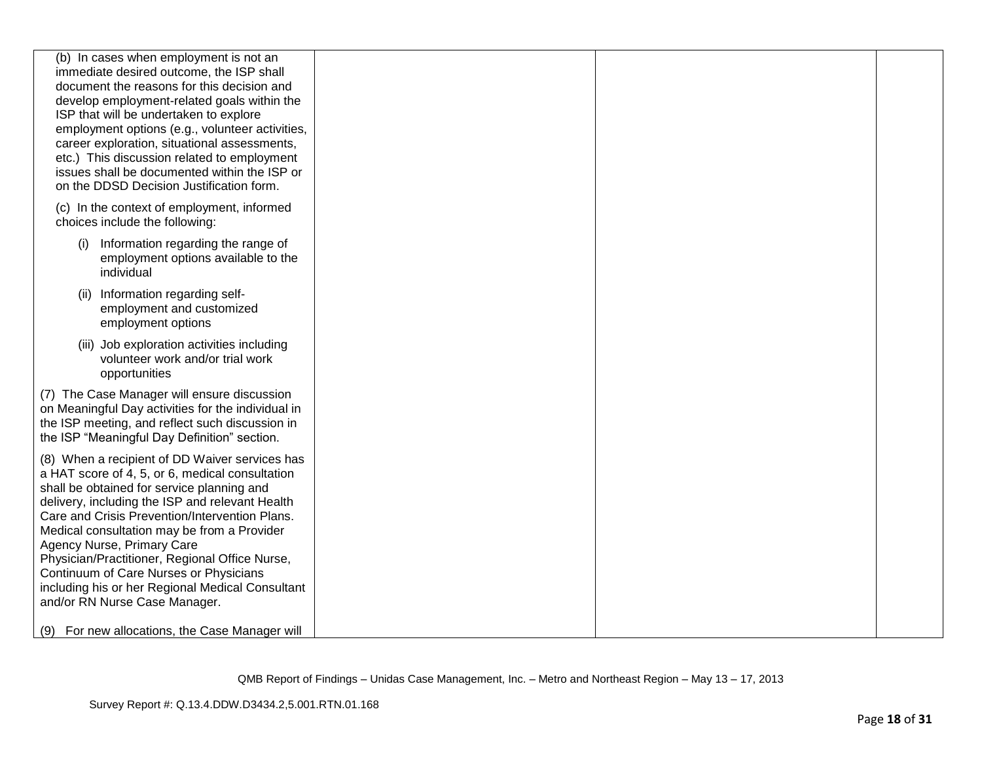| (b) In cases when employment is not an<br>immediate desired outcome, the ISP shall<br>document the reasons for this decision and<br>develop employment-related goals within the<br>ISP that will be undertaken to explore<br>employment options (e.g., volunteer activities,<br>career exploration, situational assessments,<br>etc.) This discussion related to employment<br>issues shall be documented within the ISP or<br>on the DDSD Decision Justification form.                                            |  |  |
|--------------------------------------------------------------------------------------------------------------------------------------------------------------------------------------------------------------------------------------------------------------------------------------------------------------------------------------------------------------------------------------------------------------------------------------------------------------------------------------------------------------------|--|--|
| (c) In the context of employment, informed<br>choices include the following:                                                                                                                                                                                                                                                                                                                                                                                                                                       |  |  |
| Information regarding the range of<br>(i)<br>employment options available to the<br>individual                                                                                                                                                                                                                                                                                                                                                                                                                     |  |  |
| Information regarding self-<br>(ii)<br>employment and customized<br>employment options                                                                                                                                                                                                                                                                                                                                                                                                                             |  |  |
| (iii) Job exploration activities including<br>volunteer work and/or trial work<br>opportunities                                                                                                                                                                                                                                                                                                                                                                                                                    |  |  |
| (7) The Case Manager will ensure discussion<br>on Meaningful Day activities for the individual in<br>the ISP meeting, and reflect such discussion in<br>the ISP "Meaningful Day Definition" section.                                                                                                                                                                                                                                                                                                               |  |  |
| (8) When a recipient of DD Waiver services has<br>a HAT score of 4, 5, or 6, medical consultation<br>shall be obtained for service planning and<br>delivery, including the ISP and relevant Health<br>Care and Crisis Prevention/Intervention Plans.<br>Medical consultation may be from a Provider<br>Agency Nurse, Primary Care<br>Physician/Practitioner, Regional Office Nurse,<br>Continuum of Care Nurses or Physicians<br>including his or her Regional Medical Consultant<br>and/or RN Nurse Case Manager. |  |  |
| (9) For new allocations, the Case Manager will                                                                                                                                                                                                                                                                                                                                                                                                                                                                     |  |  |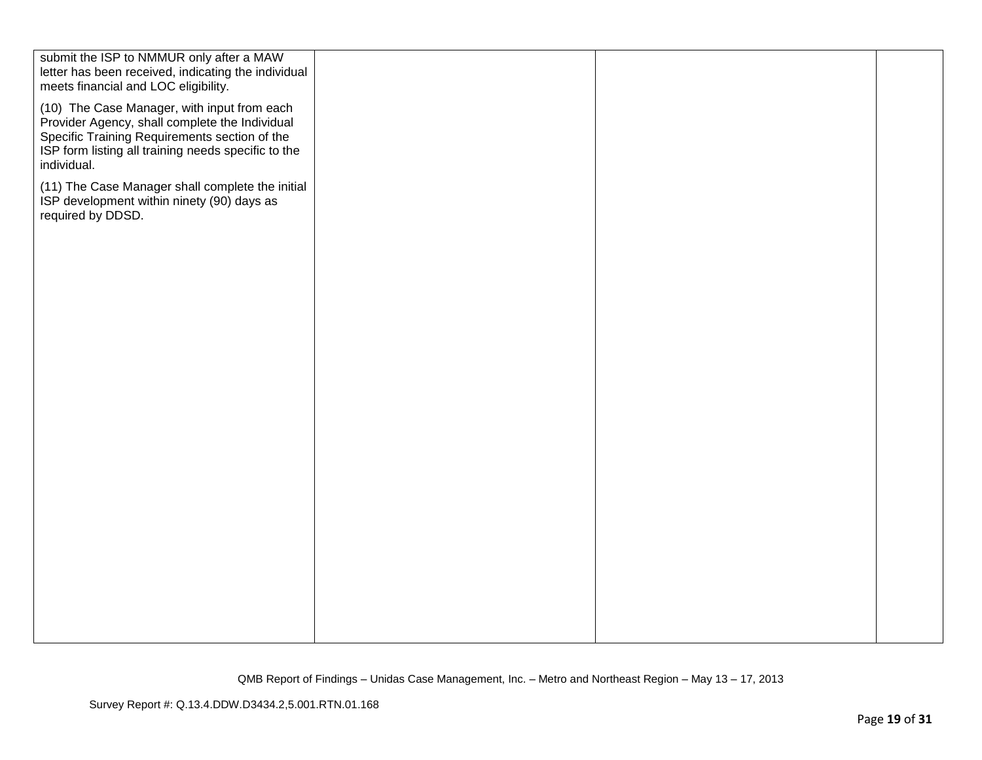| submit the ISP to NMMUR only after a MAW<br>letter has been received, indicating the individual<br>meets financial and LOC eligibility.                                                                              |  |  |
|----------------------------------------------------------------------------------------------------------------------------------------------------------------------------------------------------------------------|--|--|
| (10) The Case Manager, with input from each<br>Provider Agency, shall complete the Individual<br>Specific Training Requirements section of the<br>ISP form listing all training needs specific to the<br>individual. |  |  |
| (11) The Case Manager shall complete the initial<br>ISP development within ninety (90) days as<br>required by DDSD.                                                                                                  |  |  |
|                                                                                                                                                                                                                      |  |  |
|                                                                                                                                                                                                                      |  |  |
|                                                                                                                                                                                                                      |  |  |
|                                                                                                                                                                                                                      |  |  |
|                                                                                                                                                                                                                      |  |  |
|                                                                                                                                                                                                                      |  |  |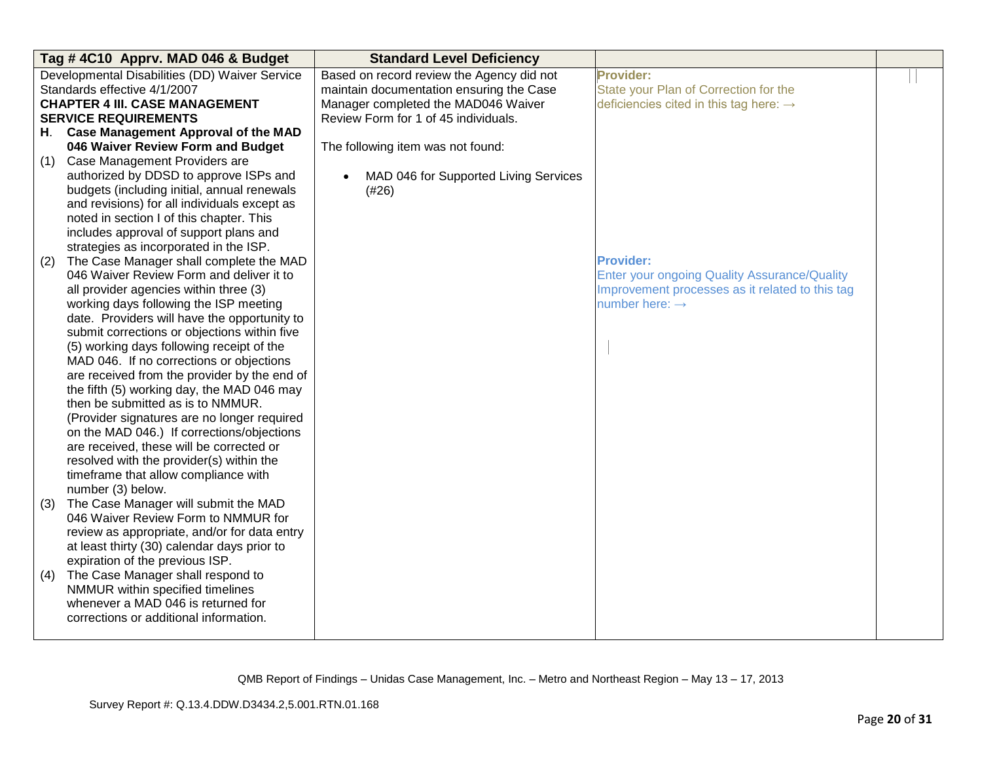| Tag #4C10 Apprv. MAD 046 & Budget |                                                           | <b>Standard Level Deficiency</b>          |                                                    |  |
|-----------------------------------|-----------------------------------------------------------|-------------------------------------------|----------------------------------------------------|--|
|                                   | Developmental Disabilities (DD) Waiver Service            | Based on record review the Agency did not | <b>Provider:</b>                                   |  |
|                                   | Standards effective 4/1/2007                              | maintain documentation ensuring the Case  | State your Plan of Correction for the              |  |
|                                   | <b>CHAPTER 4 III. CASE MANAGEMENT</b>                     | Manager completed the MAD046 Waiver       | deficiencies cited in this tag here: $\rightarrow$ |  |
|                                   | <b>SERVICE REQUIREMENTS</b>                               | Review Form for 1 of 45 individuals.      |                                                    |  |
| H.                                | <b>Case Management Approval of the MAD</b>                |                                           |                                                    |  |
|                                   | 046 Waiver Review Form and Budget                         | The following item was not found:         |                                                    |  |
| (1)                               | Case Management Providers are                             |                                           |                                                    |  |
|                                   | authorized by DDSD to approve ISPs and                    | MAD 046 for Supported Living Services     |                                                    |  |
|                                   | budgets (including initial, annual renewals               | (#26)                                     |                                                    |  |
|                                   | and revisions) for all individuals except as              |                                           |                                                    |  |
|                                   | noted in section I of this chapter. This                  |                                           |                                                    |  |
|                                   | includes approval of support plans and                    |                                           |                                                    |  |
|                                   | strategies as incorporated in the ISP.                    |                                           |                                                    |  |
| (2)                               | The Case Manager shall complete the MAD                   |                                           | <b>Provider:</b>                                   |  |
|                                   | 046 Waiver Review Form and deliver it to                  |                                           | Enter your ongoing Quality Assurance/Quality       |  |
|                                   | all provider agencies within three (3)                    |                                           | Improvement processes as it related to this tag    |  |
|                                   | working days following the ISP meeting                    |                                           | number here: $\rightarrow$                         |  |
|                                   | date. Providers will have the opportunity to              |                                           |                                                    |  |
|                                   | submit corrections or objections within five              |                                           |                                                    |  |
|                                   | (5) working days following receipt of the                 |                                           |                                                    |  |
|                                   | MAD 046. If no corrections or objections                  |                                           |                                                    |  |
|                                   | are received from the provider by the end of              |                                           |                                                    |  |
|                                   | the fifth (5) working day, the MAD 046 may                |                                           |                                                    |  |
|                                   | then be submitted as is to NMMUR.                         |                                           |                                                    |  |
|                                   | (Provider signatures are no longer required               |                                           |                                                    |  |
|                                   | on the MAD 046.) If corrections/objections                |                                           |                                                    |  |
|                                   | are received, these will be corrected or                  |                                           |                                                    |  |
|                                   | resolved with the provider(s) within the                  |                                           |                                                    |  |
|                                   | timeframe that allow compliance with<br>number (3) below. |                                           |                                                    |  |
| (3)                               | The Case Manager will submit the MAD                      |                                           |                                                    |  |
|                                   | 046 Waiver Review Form to NMMUR for                       |                                           |                                                    |  |
|                                   | review as appropriate, and/or for data entry              |                                           |                                                    |  |
|                                   | at least thirty (30) calendar days prior to               |                                           |                                                    |  |
|                                   | expiration of the previous ISP.                           |                                           |                                                    |  |
| (4)                               | The Case Manager shall respond to                         |                                           |                                                    |  |
|                                   | NMMUR within specified timelines                          |                                           |                                                    |  |
|                                   | whenever a MAD 046 is returned for                        |                                           |                                                    |  |
|                                   | corrections or additional information.                    |                                           |                                                    |  |
|                                   |                                                           |                                           |                                                    |  |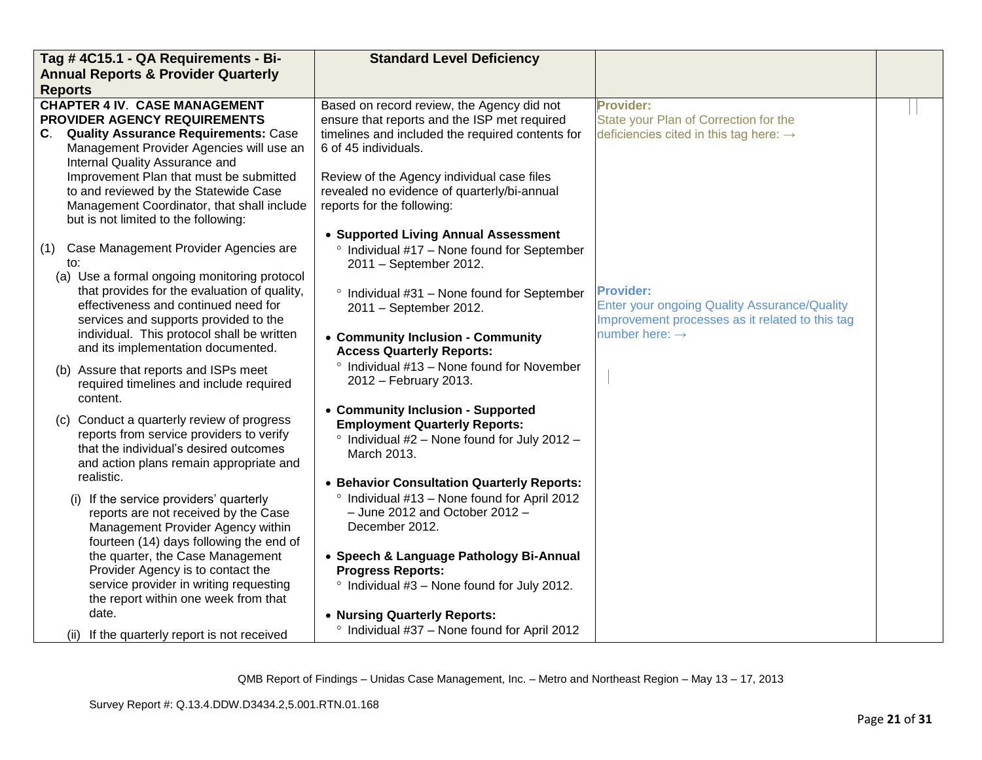| Tag # 4C15.1 - QA Requirements - Bi-                                                                                                                                                                                                                                                                                                                                                                                                                                                                                                                                                                                                                                                                  | <b>Standard Level Deficiency</b>                                                                                                                                                                                                                                                                                                                                                                                                                                                                                                                                                                                                                              |                                                                                                                                                          |  |
|-------------------------------------------------------------------------------------------------------------------------------------------------------------------------------------------------------------------------------------------------------------------------------------------------------------------------------------------------------------------------------------------------------------------------------------------------------------------------------------------------------------------------------------------------------------------------------------------------------------------------------------------------------------------------------------------------------|---------------------------------------------------------------------------------------------------------------------------------------------------------------------------------------------------------------------------------------------------------------------------------------------------------------------------------------------------------------------------------------------------------------------------------------------------------------------------------------------------------------------------------------------------------------------------------------------------------------------------------------------------------------|----------------------------------------------------------------------------------------------------------------------------------------------------------|--|
| <b>Annual Reports &amp; Provider Quarterly</b>                                                                                                                                                                                                                                                                                                                                                                                                                                                                                                                                                                                                                                                        |                                                                                                                                                                                                                                                                                                                                                                                                                                                                                                                                                                                                                                                               |                                                                                                                                                          |  |
| <b>Reports</b><br><b>CHAPTER 4 IV. CASE MANAGEMENT</b><br>PROVIDER AGENCY REQUIREMENTS<br>C. Quality Assurance Requirements: Case<br>Management Provider Agencies will use an<br>Internal Quality Assurance and<br>Improvement Plan that must be submitted<br>to and reviewed by the Statewide Case<br>Management Coordinator, that shall include<br>but is not limited to the following:                                                                                                                                                                                                                                                                                                             | Based on record review, the Agency did not<br>ensure that reports and the ISP met required<br>timelines and included the required contents for<br>6 of 45 individuals.<br>Review of the Agency individual case files<br>revealed no evidence of quarterly/bi-annual<br>reports for the following:                                                                                                                                                                                                                                                                                                                                                             | <b>Provider:</b><br>State your Plan of Correction for the<br>deficiencies cited in this tag here: $\rightarrow$                                          |  |
| (1) Case Management Provider Agencies are<br>to:<br>(a) Use a formal ongoing monitoring protocol<br>that provides for the evaluation of quality,<br>effectiveness and continued need for<br>services and supports provided to the<br>individual. This protocol shall be written<br>and its implementation documented.<br>(b) Assure that reports and ISPs meet<br>required timelines and include required<br>content.<br>(c) Conduct a quarterly review of progress<br>reports from service providers to verify<br>that the individual's desired outcomes<br>and action plans remain appropriate and<br>realistic.<br>(i) If the service providers' quarterly<br>reports are not received by the Case | • Supported Living Annual Assessment<br>Individual #17 - None found for September<br>$\circ$<br>2011 - September 2012.<br><sup>o</sup> Individual #31 - None found for September<br>2011 - September 2012.<br>• Community Inclusion - Community<br><b>Access Quarterly Reports:</b><br>° Individual #13 - None found for November<br>2012 - February 2013.<br>• Community Inclusion - Supported<br><b>Employment Quarterly Reports:</b><br>$\degree$ Individual #2 – None found for July 2012 –<br>March 2013.<br>• Behavior Consultation Quarterly Reports:<br><sup>o</sup> Individual #13 - None found for April 2012<br>$-$ June 2012 and October 2012 $-$ | <b>Provider:</b><br><b>Enter your ongoing Quality Assurance/Quality</b><br>Improvement processes as it related to this tag<br>number here: $\rightarrow$ |  |
| Management Provider Agency within<br>fourteen (14) days following the end of<br>the quarter, the Case Management<br>Provider Agency is to contact the<br>service provider in writing requesting<br>the report within one week from that<br>date.<br>(ii) If the quarterly report is not received                                                                                                                                                                                                                                                                                                                                                                                                      | December 2012.<br>• Speech & Language Pathology Bi-Annual<br><b>Progress Reports:</b><br>° Individual #3 - None found for July 2012.<br>• Nursing Quarterly Reports:<br><sup>o</sup> Individual #37 - None found for April 2012                                                                                                                                                                                                                                                                                                                                                                                                                               |                                                                                                                                                          |  |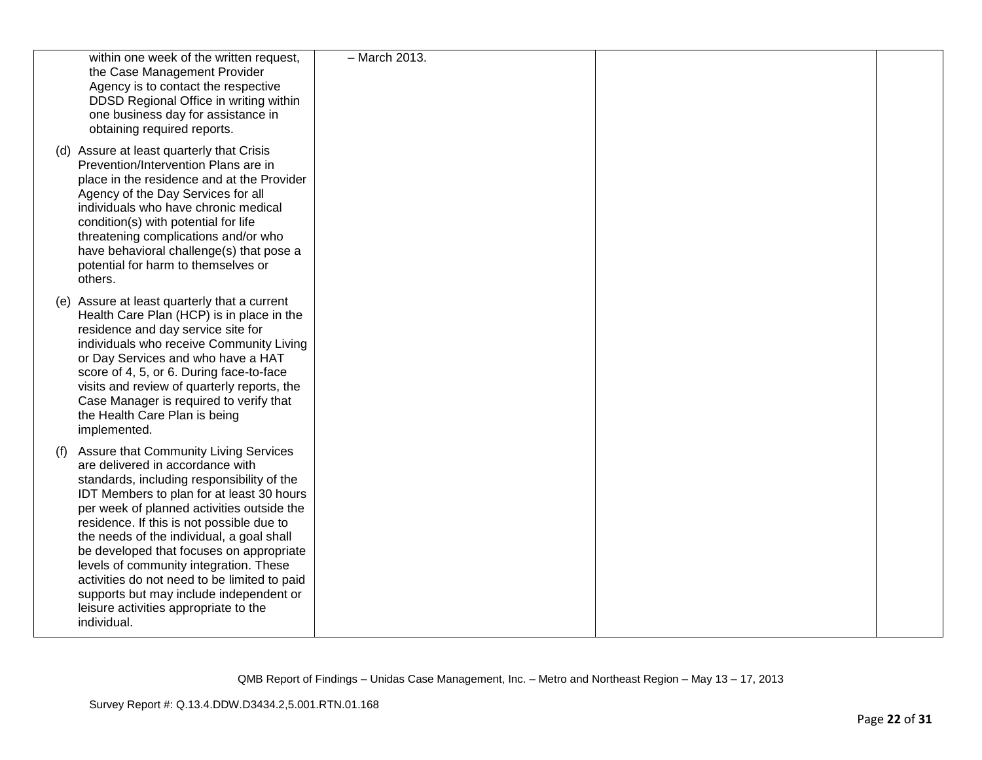| within one week of the written request,<br>the Case Management Provider<br>Agency is to contact the respective<br>DDSD Regional Office in writing within<br>one business day for assistance in<br>obtaining required reports.                                                                                                                                                                                                                                                                                                                                | - March 2013. |  |
|--------------------------------------------------------------------------------------------------------------------------------------------------------------------------------------------------------------------------------------------------------------------------------------------------------------------------------------------------------------------------------------------------------------------------------------------------------------------------------------------------------------------------------------------------------------|---------------|--|
| (d) Assure at least quarterly that Crisis<br>Prevention/Intervention Plans are in<br>place in the residence and at the Provider<br>Agency of the Day Services for all<br>individuals who have chronic medical<br>condition(s) with potential for life<br>threatening complications and/or who<br>have behavioral challenge(s) that pose a<br>potential for harm to themselves or<br>others.                                                                                                                                                                  |               |  |
| (e) Assure at least quarterly that a current<br>Health Care Plan (HCP) is in place in the<br>residence and day service site for<br>individuals who receive Community Living<br>or Day Services and who have a HAT<br>score of 4, 5, or 6. During face-to-face<br>visits and review of quarterly reports, the<br>Case Manager is required to verify that<br>the Health Care Plan is being<br>implemented.                                                                                                                                                     |               |  |
| Assure that Community Living Services<br>(f)<br>are delivered in accordance with<br>standards, including responsibility of the<br>IDT Members to plan for at least 30 hours<br>per week of planned activities outside the<br>residence. If this is not possible due to<br>the needs of the individual, a goal shall<br>be developed that focuses on appropriate<br>levels of community integration. These<br>activities do not need to be limited to paid<br>supports but may include independent or<br>leisure activities appropriate to the<br>individual. |               |  |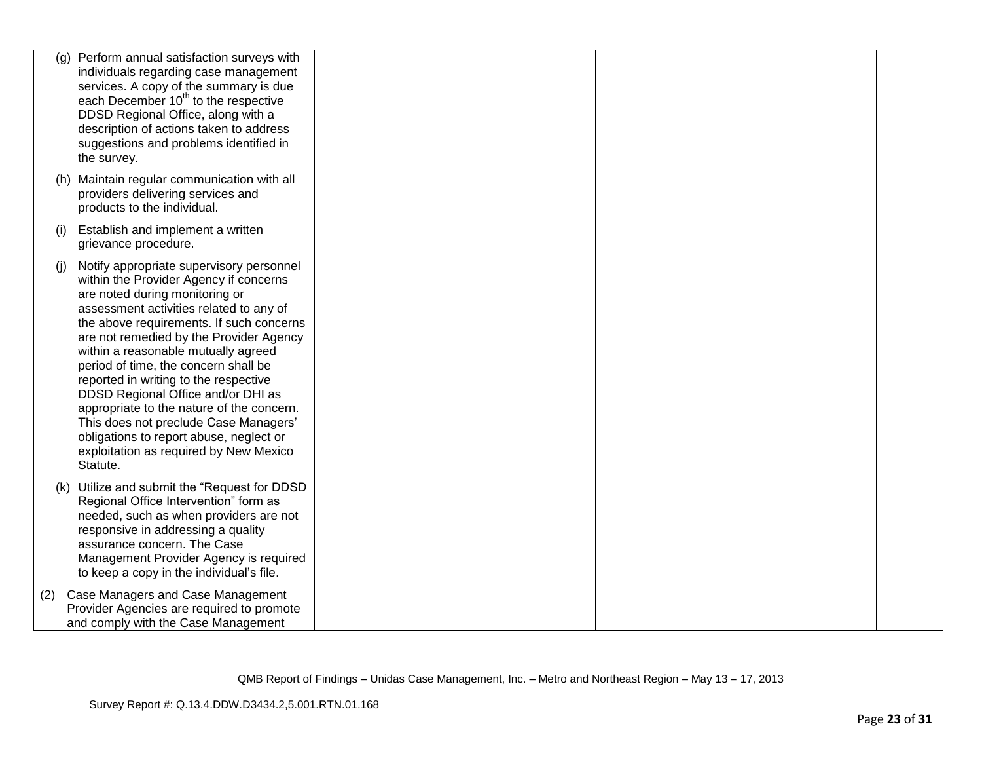| (g) | Perform annual satisfaction surveys with<br>individuals regarding case management<br>services. A copy of the summary is due<br>each December 10 <sup>th</sup> to the respective<br>DDSD Regional Office, along with a<br>description of actions taken to address<br>suggestions and problems identified in<br>the survey.                                                                                                                                                                                                                                                                                   |  |  |
|-----|-------------------------------------------------------------------------------------------------------------------------------------------------------------------------------------------------------------------------------------------------------------------------------------------------------------------------------------------------------------------------------------------------------------------------------------------------------------------------------------------------------------------------------------------------------------------------------------------------------------|--|--|
|     | (h) Maintain regular communication with all<br>providers delivering services and<br>products to the individual.                                                                                                                                                                                                                                                                                                                                                                                                                                                                                             |  |  |
| (i) | Establish and implement a written<br>grievance procedure.                                                                                                                                                                                                                                                                                                                                                                                                                                                                                                                                                   |  |  |
| (i) | Notify appropriate supervisory personnel<br>within the Provider Agency if concerns<br>are noted during monitoring or<br>assessment activities related to any of<br>the above requirements. If such concerns<br>are not remedied by the Provider Agency<br>within a reasonable mutually agreed<br>period of time, the concern shall be<br>reported in writing to the respective<br>DDSD Regional Office and/or DHI as<br>appropriate to the nature of the concern.<br>This does not preclude Case Managers'<br>obligations to report abuse, neglect or<br>exploitation as required by New Mexico<br>Statute. |  |  |
|     | (k) Utilize and submit the "Request for DDSD<br>Regional Office Intervention" form as<br>needed, such as when providers are not<br>responsive in addressing a quality<br>assurance concern. The Case<br>Management Provider Agency is required<br>to keep a copy in the individual's file.                                                                                                                                                                                                                                                                                                                  |  |  |
| (2) | Case Managers and Case Management<br>Provider Agencies are required to promote<br>and comply with the Case Management                                                                                                                                                                                                                                                                                                                                                                                                                                                                                       |  |  |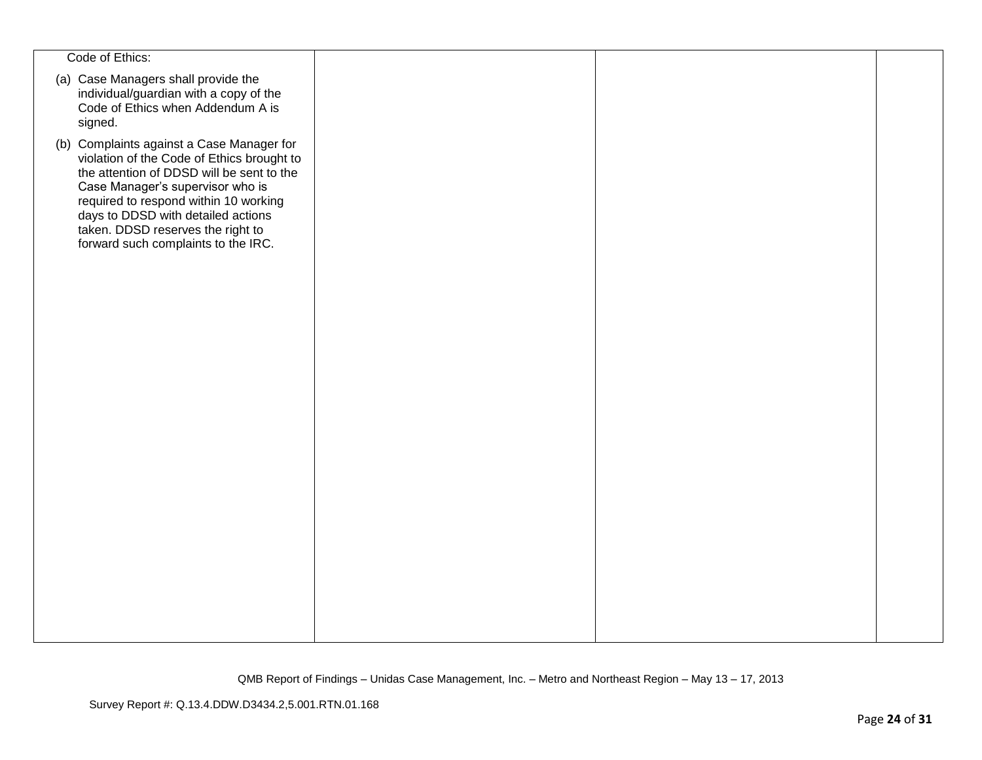| Code of Ethics:                                                                                                                                                                                                                                                                                                                     |  |  |
|-------------------------------------------------------------------------------------------------------------------------------------------------------------------------------------------------------------------------------------------------------------------------------------------------------------------------------------|--|--|
| (a) Case Managers shall provide the<br>individual/guardian with a copy of the<br>Code of Ethics when Addendum A is<br>signed.                                                                                                                                                                                                       |  |  |
| (b) Complaints against a Case Manager for<br>violation of the Code of Ethics brought to<br>the attention of DDSD will be sent to the<br>Case Manager's supervisor who is<br>required to respond within 10 working<br>days to DDSD with detailed actions<br>taken. DDSD reserves the right to<br>forward such complaints to the IRC. |  |  |
|                                                                                                                                                                                                                                                                                                                                     |  |  |
|                                                                                                                                                                                                                                                                                                                                     |  |  |
|                                                                                                                                                                                                                                                                                                                                     |  |  |
|                                                                                                                                                                                                                                                                                                                                     |  |  |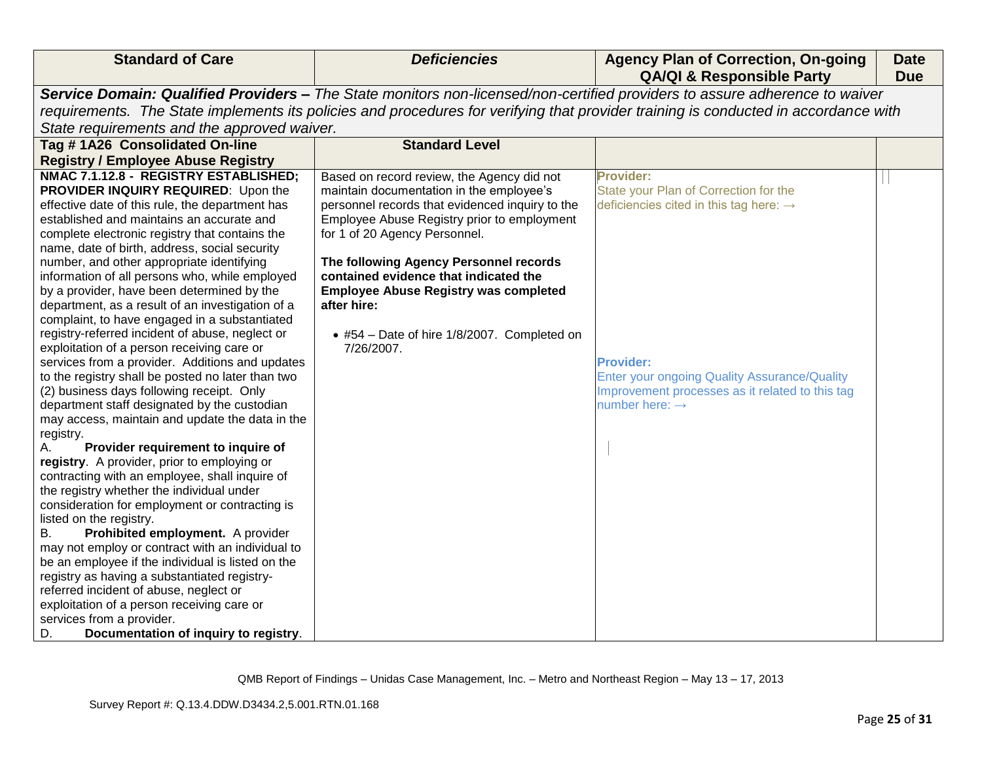| Service Domain: Qualified Providers - The State monitors non-licensed/non-certified providers to assure adherence to waiver<br>requirements. The State implements its policies and procedures for verifying that provider training is conducted in accordance with                                                                                                                                                                                                                                                                                                                                                                                                                                                                                                                                                                                                                                                                                                                                                                                                                                                                                                                                                                                                                                                                                                                                                                                                                                                                                                                                             |                                                                                                                                                                                                                                                                                                                                                                            |                                                                                                                                                                                                                                                                             |  |
|----------------------------------------------------------------------------------------------------------------------------------------------------------------------------------------------------------------------------------------------------------------------------------------------------------------------------------------------------------------------------------------------------------------------------------------------------------------------------------------------------------------------------------------------------------------------------------------------------------------------------------------------------------------------------------------------------------------------------------------------------------------------------------------------------------------------------------------------------------------------------------------------------------------------------------------------------------------------------------------------------------------------------------------------------------------------------------------------------------------------------------------------------------------------------------------------------------------------------------------------------------------------------------------------------------------------------------------------------------------------------------------------------------------------------------------------------------------------------------------------------------------------------------------------------------------------------------------------------------------|----------------------------------------------------------------------------------------------------------------------------------------------------------------------------------------------------------------------------------------------------------------------------------------------------------------------------------------------------------------------------|-----------------------------------------------------------------------------------------------------------------------------------------------------------------------------------------------------------------------------------------------------------------------------|--|
|                                                                                                                                                                                                                                                                                                                                                                                                                                                                                                                                                                                                                                                                                                                                                                                                                                                                                                                                                                                                                                                                                                                                                                                                                                                                                                                                                                                                                                                                                                                                                                                                                |                                                                                                                                                                                                                                                                                                                                                                            |                                                                                                                                                                                                                                                                             |  |
|                                                                                                                                                                                                                                                                                                                                                                                                                                                                                                                                                                                                                                                                                                                                                                                                                                                                                                                                                                                                                                                                                                                                                                                                                                                                                                                                                                                                                                                                                                                                                                                                                |                                                                                                                                                                                                                                                                                                                                                                            |                                                                                                                                                                                                                                                                             |  |
| State requirements and the approved waiver.                                                                                                                                                                                                                                                                                                                                                                                                                                                                                                                                                                                                                                                                                                                                                                                                                                                                                                                                                                                                                                                                                                                                                                                                                                                                                                                                                                                                                                                                                                                                                                    |                                                                                                                                                                                                                                                                                                                                                                            |                                                                                                                                                                                                                                                                             |  |
| Tag #1A26 Consolidated On-line                                                                                                                                                                                                                                                                                                                                                                                                                                                                                                                                                                                                                                                                                                                                                                                                                                                                                                                                                                                                                                                                                                                                                                                                                                                                                                                                                                                                                                                                                                                                                                                 | <b>Standard Level</b>                                                                                                                                                                                                                                                                                                                                                      |                                                                                                                                                                                                                                                                             |  |
| <b>Registry / Employee Abuse Registry</b>                                                                                                                                                                                                                                                                                                                                                                                                                                                                                                                                                                                                                                                                                                                                                                                                                                                                                                                                                                                                                                                                                                                                                                                                                                                                                                                                                                                                                                                                                                                                                                      |                                                                                                                                                                                                                                                                                                                                                                            |                                                                                                                                                                                                                                                                             |  |
| NMAC 7.1.12.8 - REGISTRY ESTABLISHED;<br>PROVIDER INQUIRY REQUIRED: Upon the<br>effective date of this rule, the department has<br>established and maintains an accurate and<br>complete electronic registry that contains the<br>for 1 of 20 Agency Personnel.<br>name, date of birth, address, social security<br>number, and other appropriate identifying<br>information of all persons who, while employed<br>by a provider, have been determined by the<br>after hire:<br>department, as a result of an investigation of a<br>complaint, to have engaged in a substantiated<br>registry-referred incident of abuse, neglect or<br>exploitation of a person receiving care or<br>7/26/2007.<br>services from a provider. Additions and updates<br>to the registry shall be posted no later than two<br>(2) business days following receipt. Only<br>department staff designated by the custodian<br>may access, maintain and update the data in the<br>registry.<br>Provider requirement to inquire of<br>registry. A provider, prior to employing or<br>contracting with an employee, shall inquire of<br>the registry whether the individual under<br>consideration for employment or contracting is<br>listed on the registry.<br>Prohibited employment. A provider<br>В.<br>may not employ or contract with an individual to<br>be an employee if the individual is listed on the<br>registry as having a substantiated registry-<br>referred incident of abuse, neglect or<br>exploitation of a person receiving care or<br>services from a provider.<br>Documentation of inquiry to registry.<br>D. | Based on record review, the Agency did not<br>maintain documentation in the employee's<br>personnel records that evidenced inquiry to the<br>Employee Abuse Registry prior to employment<br>The following Agency Personnel records<br>contained evidence that indicated the<br><b>Employee Abuse Registry was completed</b><br>• #54 - Date of hire 1/8/2007. Completed on | <b>Provider:</b><br>State your Plan of Correction for the<br>deficiencies cited in this tag here: $\rightarrow$<br><b>Provider:</b><br><b>Enter your ongoing Quality Assurance/Quality</b><br>Improvement processes as it related to this tag<br>number here: $\rightarrow$ |  |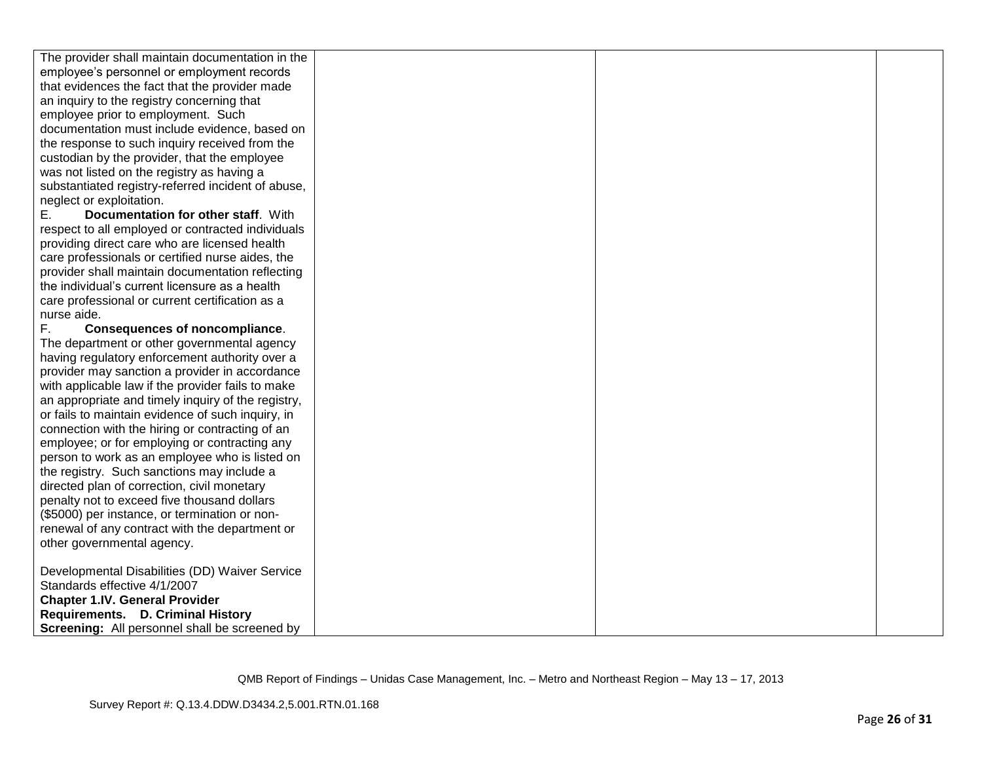| The provider shall maintain documentation in the     |  |  |
|------------------------------------------------------|--|--|
| employee's personnel or employment records           |  |  |
| that evidences the fact that the provider made       |  |  |
| an inquiry to the registry concerning that           |  |  |
| employee prior to employment. Such                   |  |  |
| documentation must include evidence, based on        |  |  |
| the response to such inquiry received from the       |  |  |
| custodian by the provider, that the employee         |  |  |
| was not listed on the registry as having a           |  |  |
| substantiated registry-referred incident of abuse,   |  |  |
| neglect or exploitation.                             |  |  |
| Documentation for other staff. With<br>Е.            |  |  |
| respect to all employed or contracted individuals    |  |  |
| providing direct care who are licensed health        |  |  |
| care professionals or certified nurse aides, the     |  |  |
| provider shall maintain documentation reflecting     |  |  |
| the individual's current licensure as a health       |  |  |
| care professional or current certification as a      |  |  |
| nurse aide.                                          |  |  |
| F.<br><b>Consequences of noncompliance.</b>          |  |  |
| The department or other governmental agency          |  |  |
| having regulatory enforcement authority over a       |  |  |
| provider may sanction a provider in accordance       |  |  |
| with applicable law if the provider fails to make    |  |  |
| an appropriate and timely inquiry of the registry,   |  |  |
| or fails to maintain evidence of such inquiry, in    |  |  |
| connection with the hiring or contracting of an      |  |  |
| employee; or for employing or contracting any        |  |  |
| person to work as an employee who is listed on       |  |  |
| the registry. Such sanctions may include a           |  |  |
| directed plan of correction, civil monetary          |  |  |
| penalty not to exceed five thousand dollars          |  |  |
| (\$5000) per instance, or termination or non-        |  |  |
| renewal of any contract with the department or       |  |  |
| other governmental agency.                           |  |  |
|                                                      |  |  |
| Developmental Disabilities (DD) Waiver Service       |  |  |
| Standards effective 4/1/2007                         |  |  |
| <b>Chapter 1.IV. General Provider</b>                |  |  |
| Requirements. D. Criminal History                    |  |  |
| <b>Screening:</b> All personnel shall be screened by |  |  |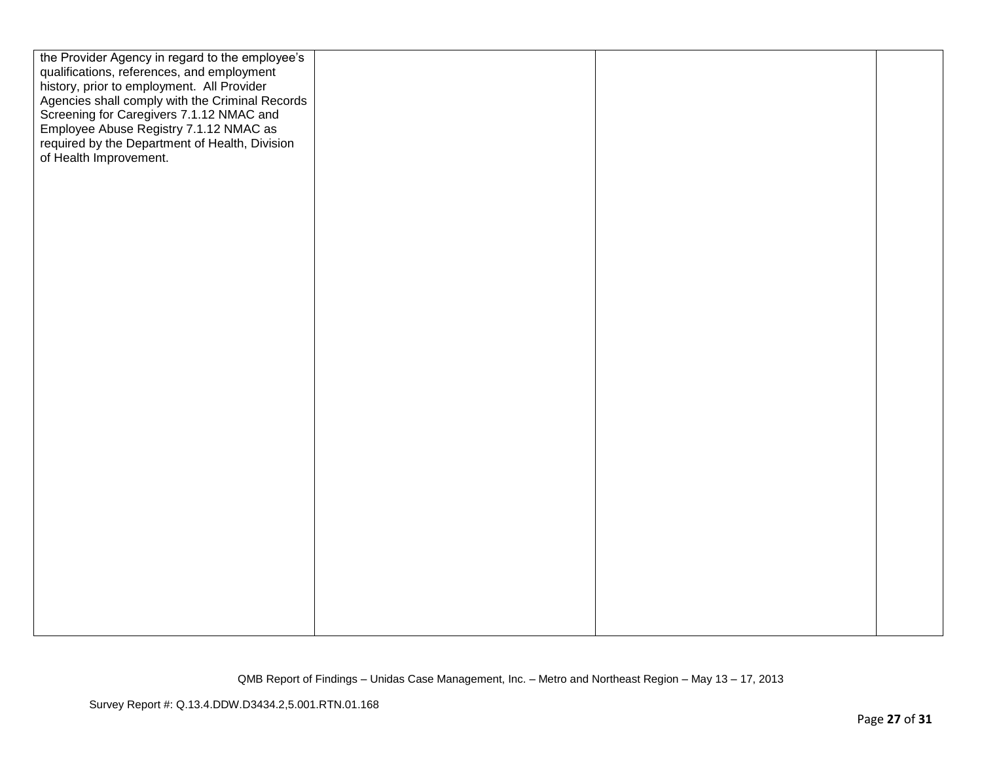| the Provider Agency in regard to the employee's<br>qualifications, references, and employment<br>history, prior to employment. All Provider<br>Agencies shall comply with the Criminal Records<br>Screening for Caregivers 7.1.12 NMAC and<br>Employee Abuse Registry 7.1.12 NMAC as<br>required by the Department of Health, Division<br>of Health Improvement. |  |  |
|------------------------------------------------------------------------------------------------------------------------------------------------------------------------------------------------------------------------------------------------------------------------------------------------------------------------------------------------------------------|--|--|
|                                                                                                                                                                                                                                                                                                                                                                  |  |  |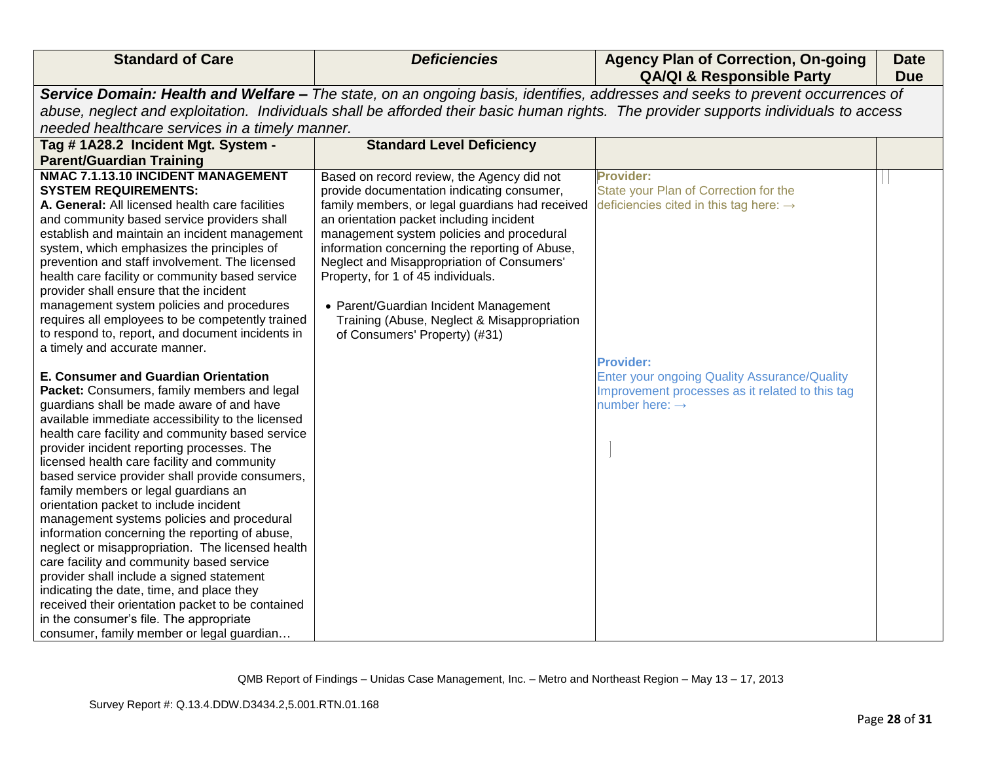| <b>Standard of Care</b>                                                                    | <b>Deficiencies</b>                             | <b>Agency Plan of Correction, On-going</b><br><b>QA/QI &amp; Responsible Party</b>                                                   | <b>Date</b><br><b>Due</b> |
|--------------------------------------------------------------------------------------------|-------------------------------------------------|--------------------------------------------------------------------------------------------------------------------------------------|---------------------------|
|                                                                                            |                                                 | Service Domain: Health and Welfare - The state, on an ongoing basis, identifies, addresses and seeks to prevent occurrences of       |                           |
|                                                                                            |                                                 | abuse, neglect and exploitation. Individuals shall be afforded their basic human rights. The provider supports individuals to access |                           |
| needed healthcare services in a timely manner.                                             |                                                 |                                                                                                                                      |                           |
| Tag #1A28.2 Incident Mgt. System -                                                         | <b>Standard Level Deficiency</b>                |                                                                                                                                      |                           |
| <b>Parent/Guardian Training</b>                                                            |                                                 |                                                                                                                                      |                           |
| NMAC 7.1.13.10 INCIDENT MANAGEMENT                                                         | Based on record review, the Agency did not      | <b>Provider:</b>                                                                                                                     |                           |
| <b>SYSTEM REQUIREMENTS:</b>                                                                | provide documentation indicating consumer,      | State your Plan of Correction for the                                                                                                |                           |
| A. General: All licensed health care facilities                                            | family members, or legal guardians had received | deficiencies cited in this tag here: $\rightarrow$                                                                                   |                           |
| and community based service providers shall                                                | an orientation packet including incident        |                                                                                                                                      |                           |
| establish and maintain an incident management                                              | management system policies and procedural       |                                                                                                                                      |                           |
| system, which emphasizes the principles of                                                 | information concerning the reporting of Abuse,  |                                                                                                                                      |                           |
| prevention and staff involvement. The licensed                                             | Neglect and Misappropriation of Consumers'      |                                                                                                                                      |                           |
| health care facility or community based service<br>provider shall ensure that the incident | Property, for 1 of 45 individuals.              |                                                                                                                                      |                           |
| management system policies and procedures                                                  | • Parent/Guardian Incident Management           |                                                                                                                                      |                           |
| requires all employees to be competently trained                                           | Training (Abuse, Neglect & Misappropriation     |                                                                                                                                      |                           |
| to respond to, report, and document incidents in                                           | of Consumers' Property) (#31)                   |                                                                                                                                      |                           |
| a timely and accurate manner.                                                              |                                                 |                                                                                                                                      |                           |
|                                                                                            |                                                 | <b>Provider:</b>                                                                                                                     |                           |
| E. Consumer and Guardian Orientation                                                       |                                                 | <b>Enter your ongoing Quality Assurance/Quality</b>                                                                                  |                           |
| Packet: Consumers, family members and legal                                                |                                                 | Improvement processes as it related to this tag                                                                                      |                           |
| guardians shall be made aware of and have                                                  |                                                 | number here: $\rightarrow$                                                                                                           |                           |
| available immediate accessibility to the licensed                                          |                                                 |                                                                                                                                      |                           |
| health care facility and community based service                                           |                                                 |                                                                                                                                      |                           |
| provider incident reporting processes. The<br>licensed health care facility and community  |                                                 |                                                                                                                                      |                           |
| based service provider shall provide consumers,                                            |                                                 |                                                                                                                                      |                           |
| family members or legal guardians an                                                       |                                                 |                                                                                                                                      |                           |
| orientation packet to include incident                                                     |                                                 |                                                                                                                                      |                           |
| management systems policies and procedural                                                 |                                                 |                                                                                                                                      |                           |
| information concerning the reporting of abuse,                                             |                                                 |                                                                                                                                      |                           |
| neglect or misappropriation. The licensed health                                           |                                                 |                                                                                                                                      |                           |
| care facility and community based service                                                  |                                                 |                                                                                                                                      |                           |
| provider shall include a signed statement                                                  |                                                 |                                                                                                                                      |                           |
| indicating the date, time, and place they                                                  |                                                 |                                                                                                                                      |                           |
| received their orientation packet to be contained                                          |                                                 |                                                                                                                                      |                           |
| in the consumer's file. The appropriate                                                    |                                                 |                                                                                                                                      |                           |
| consumer, family member or legal guardian                                                  |                                                 |                                                                                                                                      |                           |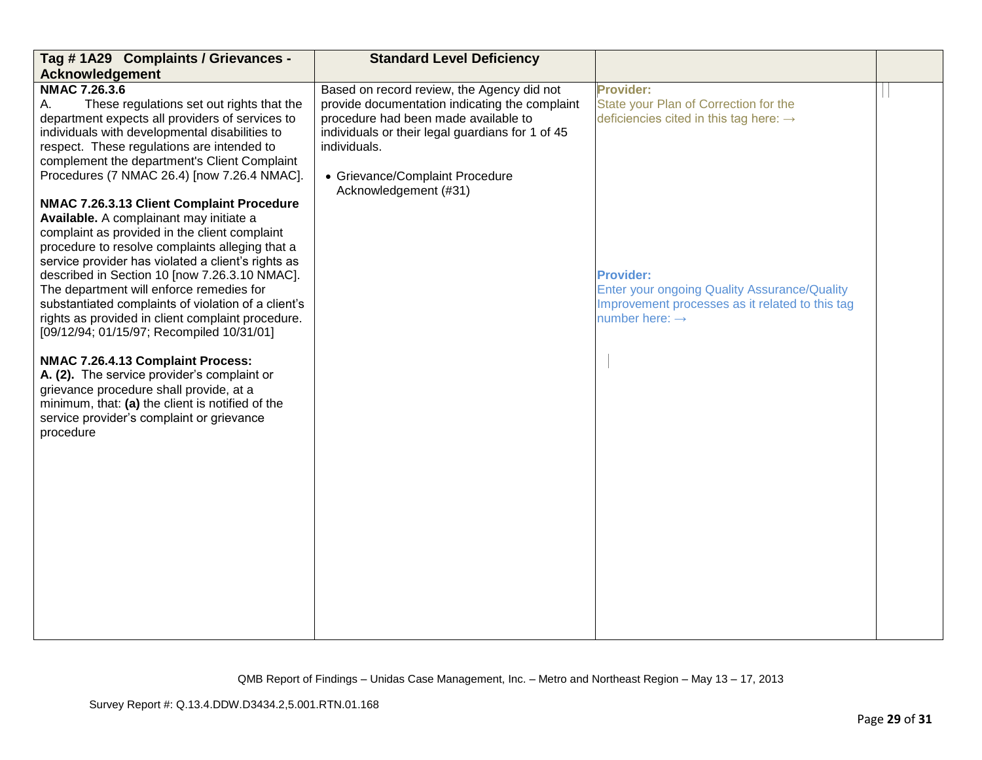| Tag #1A29 Complaints / Grievances -                                                                                                                                                                                                                                                                                                                                                                                                                                                                                                                                                                                                                                                                                                                                                                                                                                                                                                                                                                                                                                            | <b>Standard Level Deficiency</b>                                                                                                                                                                                                                                     |                                                                                                                                                                                                                                                                      |  |
|--------------------------------------------------------------------------------------------------------------------------------------------------------------------------------------------------------------------------------------------------------------------------------------------------------------------------------------------------------------------------------------------------------------------------------------------------------------------------------------------------------------------------------------------------------------------------------------------------------------------------------------------------------------------------------------------------------------------------------------------------------------------------------------------------------------------------------------------------------------------------------------------------------------------------------------------------------------------------------------------------------------------------------------------------------------------------------|----------------------------------------------------------------------------------------------------------------------------------------------------------------------------------------------------------------------------------------------------------------------|----------------------------------------------------------------------------------------------------------------------------------------------------------------------------------------------------------------------------------------------------------------------|--|
| Acknowledgement                                                                                                                                                                                                                                                                                                                                                                                                                                                                                                                                                                                                                                                                                                                                                                                                                                                                                                                                                                                                                                                                |                                                                                                                                                                                                                                                                      |                                                                                                                                                                                                                                                                      |  |
| <b>NMAC 7.26.3.6</b><br>These regulations set out rights that the<br>А.<br>department expects all providers of services to<br>individuals with developmental disabilities to<br>respect. These regulations are intended to<br>complement the department's Client Complaint<br>Procedures (7 NMAC 26.4) [now 7.26.4 NMAC].<br>NMAC 7.26.3.13 Client Complaint Procedure<br>Available. A complainant may initiate a<br>complaint as provided in the client complaint<br>procedure to resolve complaints alleging that a<br>service provider has violated a client's rights as<br>described in Section 10 [now 7.26.3.10 NMAC].<br>The department will enforce remedies for<br>substantiated complaints of violation of a client's<br>rights as provided in client complaint procedure.<br>[09/12/94; 01/15/97; Recompiled 10/31/01]<br>NMAC 7.26.4.13 Complaint Process:<br>A. (2). The service provider's complaint or<br>grievance procedure shall provide, at a<br>minimum, that: (a) the client is notified of the<br>service provider's complaint or grievance<br>procedure | Based on record review, the Agency did not<br>provide documentation indicating the complaint<br>procedure had been made available to<br>individuals or their legal guardians for 1 of 45<br>individuals.<br>• Grievance/Complaint Procedure<br>Acknowledgement (#31) | Provider:<br>State your Plan of Correction for the<br>deficiencies cited in this tag here: $\rightarrow$<br><b>Provider:</b><br><b>Enter your ongoing Quality Assurance/Quality</b><br>Improvement processes as it related to this tag<br>number here: $\rightarrow$ |  |
|                                                                                                                                                                                                                                                                                                                                                                                                                                                                                                                                                                                                                                                                                                                                                                                                                                                                                                                                                                                                                                                                                |                                                                                                                                                                                                                                                                      |                                                                                                                                                                                                                                                                      |  |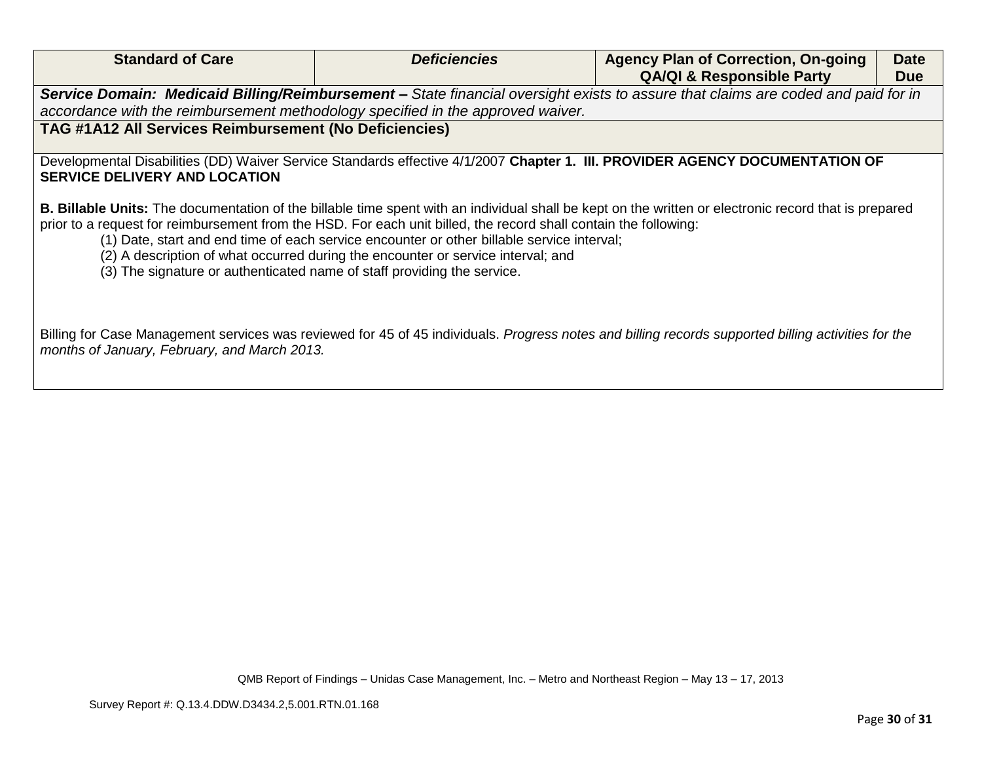| <b>Standard of Care</b>                                                                                                                                                                     | <b>Deficiencies</b>                                                                                                                                                            | <b>Agency Plan of Correction, On-going</b>                                                                                                                   | <b>Date</b> |
|---------------------------------------------------------------------------------------------------------------------------------------------------------------------------------------------|--------------------------------------------------------------------------------------------------------------------------------------------------------------------------------|--------------------------------------------------------------------------------------------------------------------------------------------------------------|-------------|
|                                                                                                                                                                                             |                                                                                                                                                                                | <b>QA/QI &amp; Responsible Party</b>                                                                                                                         | <b>Due</b>  |
|                                                                                                                                                                                             |                                                                                                                                                                                | Service Domain: Medicaid Billing/Reimbursement - State financial oversight exists to assure that claims are coded and paid for in                            |             |
| accordance with the reimbursement methodology specified in the approved waiver.                                                                                                             |                                                                                                                                                                                |                                                                                                                                                              |             |
| <b>TAG #1A12 All Services Reimbursement (No Deficiencies)</b>                                                                                                                               |                                                                                                                                                                                |                                                                                                                                                              |             |
|                                                                                                                                                                                             |                                                                                                                                                                                |                                                                                                                                                              |             |
|                                                                                                                                                                                             |                                                                                                                                                                                | Developmental Disabilities (DD) Waiver Service Standards effective 4/1/2007 Chapter 1. III. PROVIDER AGENCY DOCUMENTATION OF                                 |             |
| <b>SERVICE DELIVERY AND LOCATION</b>                                                                                                                                                        |                                                                                                                                                                                |                                                                                                                                                              |             |
| prior to a request for reimbursement from the HSD. For each unit billed, the record shall contain the following:<br>(3) The signature or authenticated name of staff providing the service. | (1) Date, start and end time of each service encounter or other billable service interval;<br>(2) A description of what occurred during the encounter or service interval; and | <b>B. Billable Units:</b> The documentation of the billable time spent with an individual shall be kept on the written or electronic record that is prepared |             |
| months of January, February, and March 2013.                                                                                                                                                |                                                                                                                                                                                | Billing for Case Management services was reviewed for 45 of 45 individuals. Progress notes and billing records supported billing activities for the          |             |